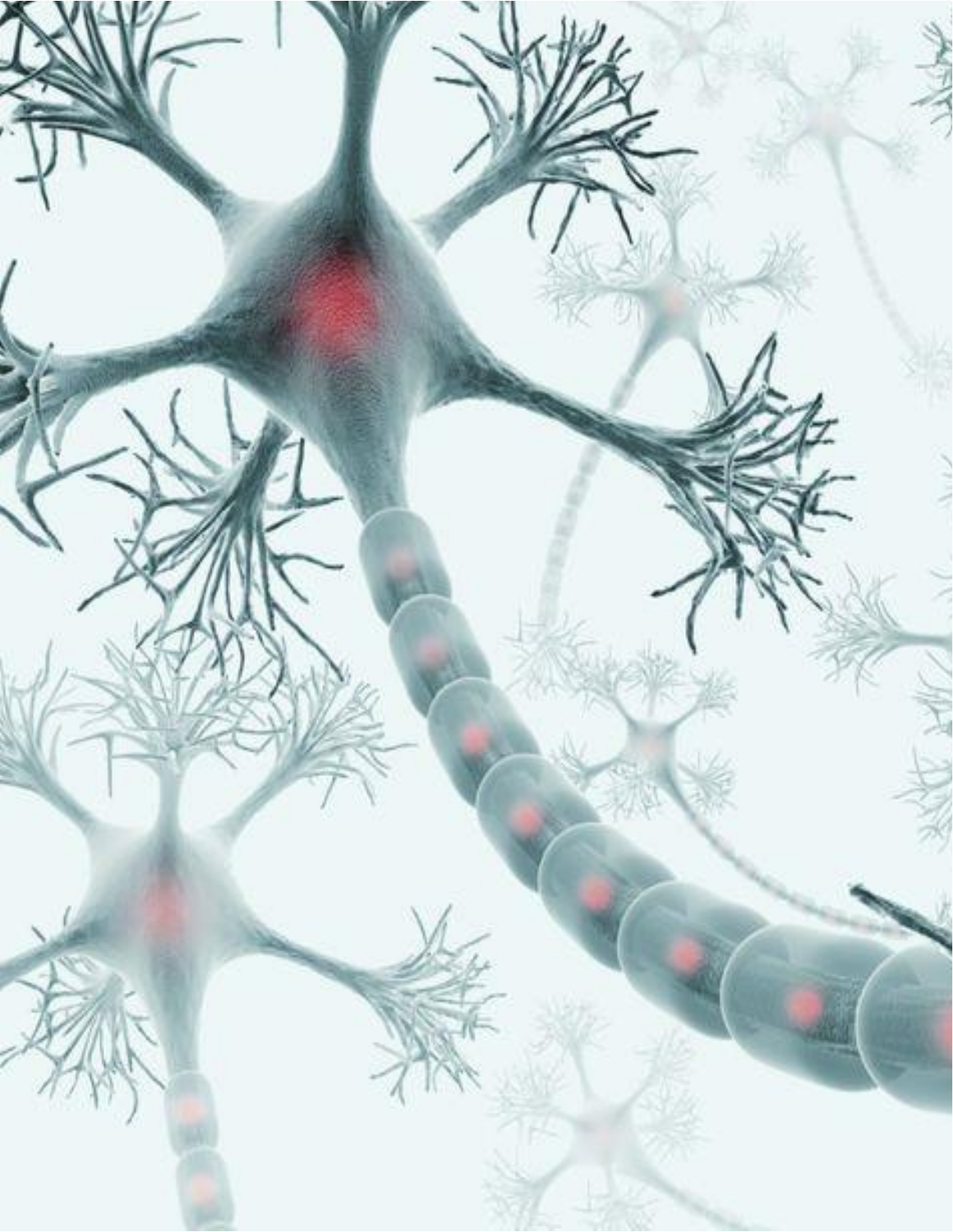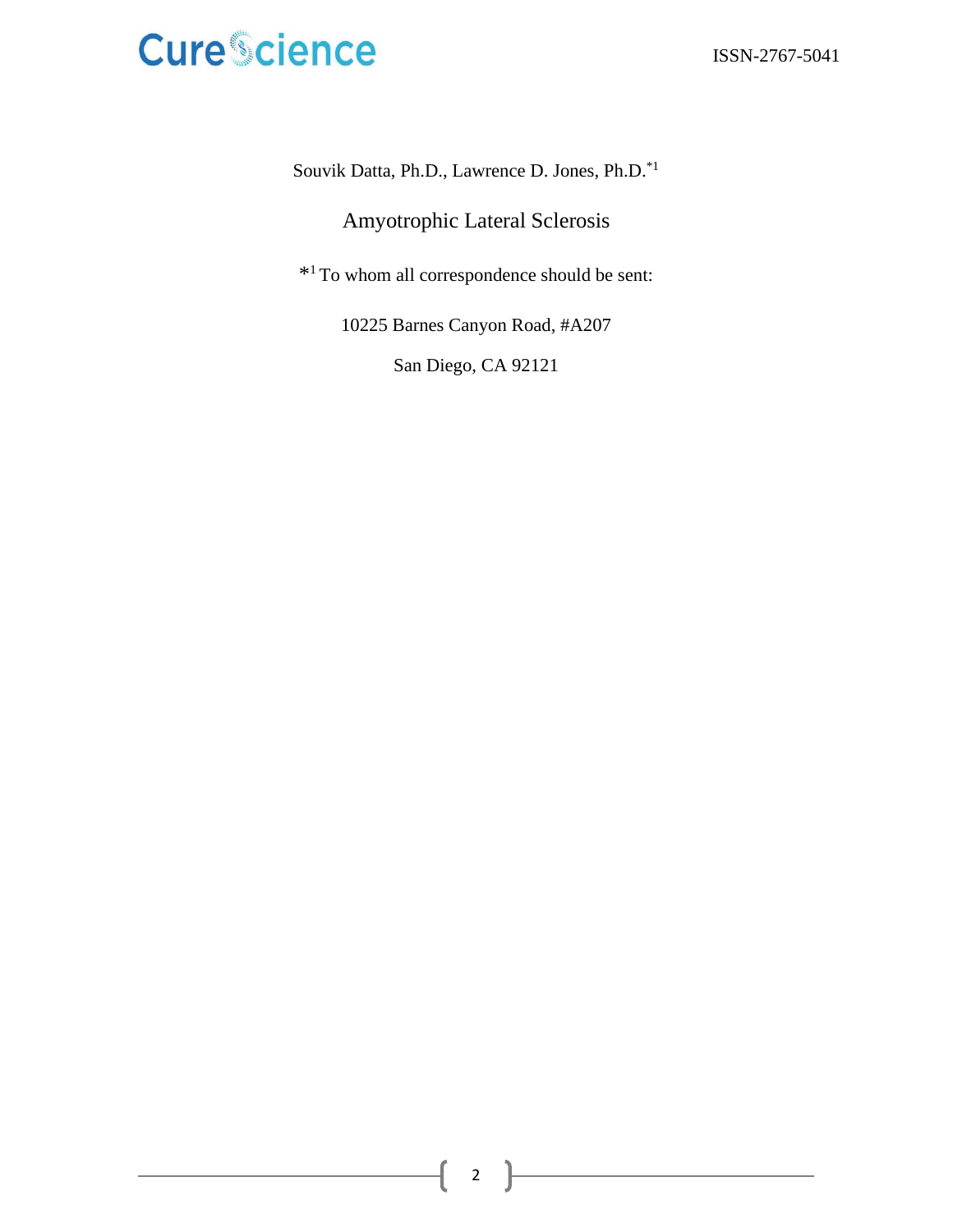## **Cure**<sup>S</sup>cience

Souvik Datta, Ph.D., Lawrence D. Jones, Ph.D.\*1

Amyotrophic Lateral Sclerosis

\* <sup>1</sup>To whom all correspondence should be sent:

10225 Barnes Canyon Road, #A207

San Diego, CA 92121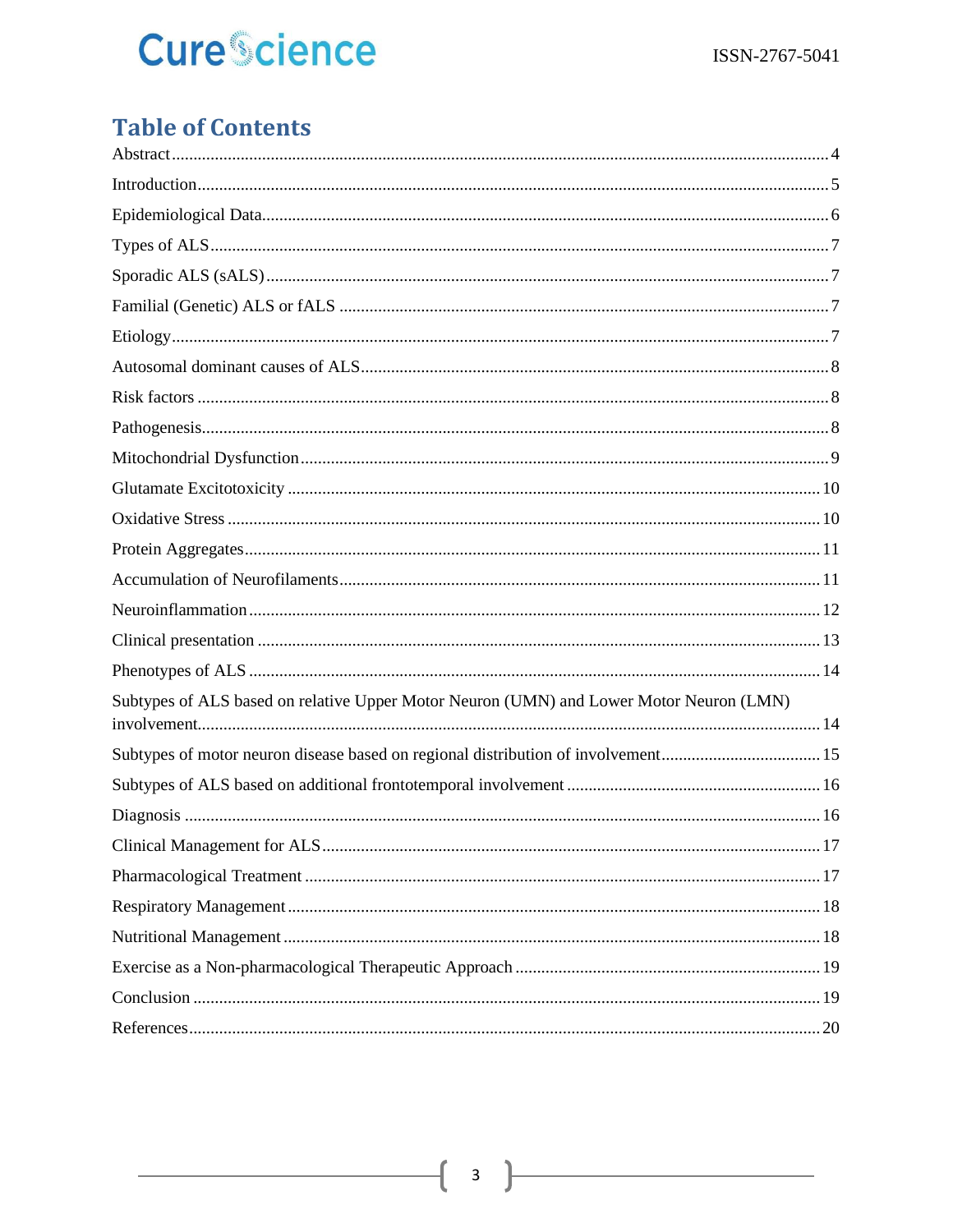### **Table of Contents**

<span id="page-2-0"></span>

| Subtypes of ALS based on relative Upper Motor Neuron (UMN) and Lower Motor Neuron (LMN) |
|-----------------------------------------------------------------------------------------|
|                                                                                         |
|                                                                                         |
|                                                                                         |
|                                                                                         |
|                                                                                         |
|                                                                                         |
|                                                                                         |
|                                                                                         |
|                                                                                         |
|                                                                                         |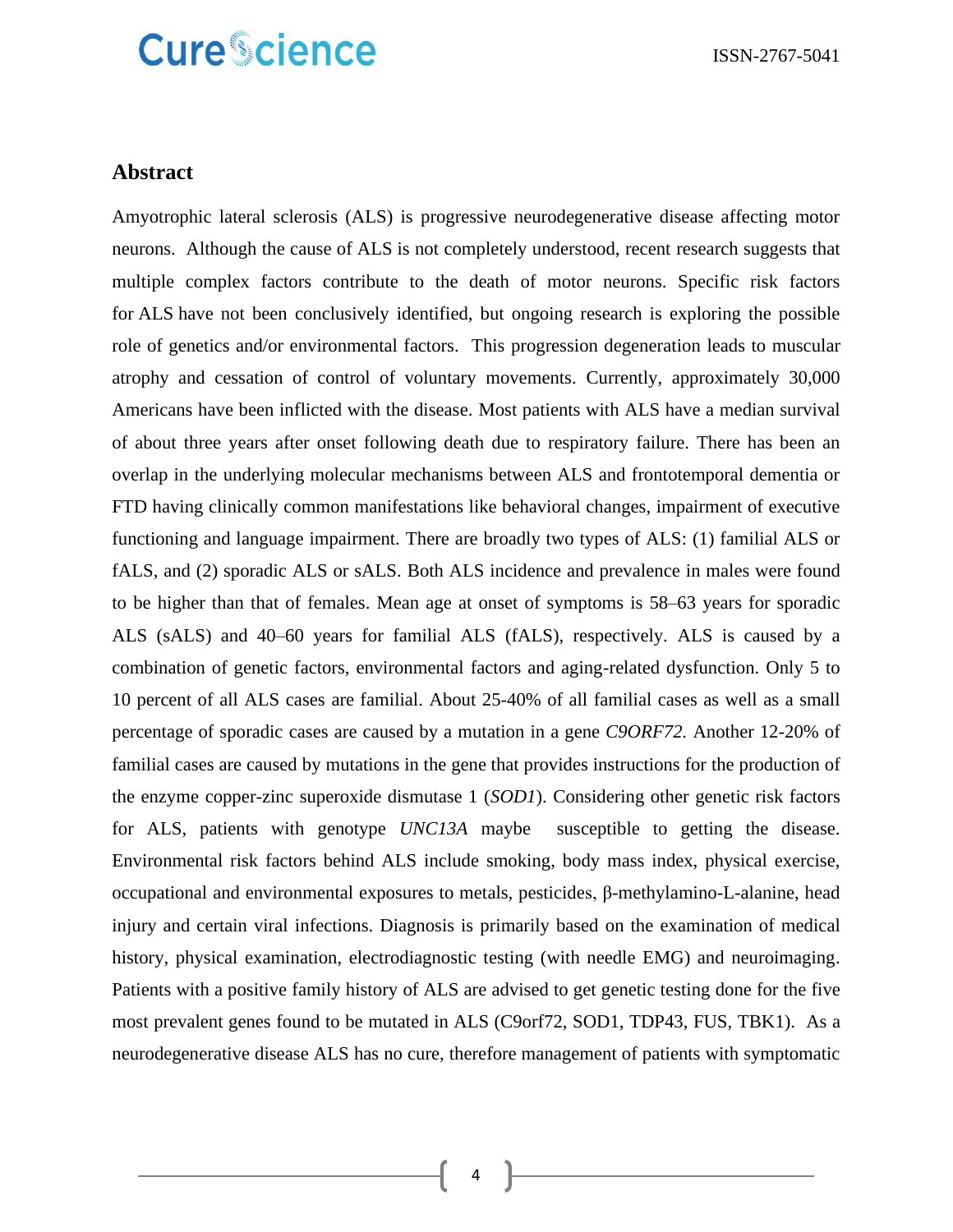### **Abstract**

Amyotrophic lateral sclerosis (ALS) is progressive neurodegenerative disease affecting motor neurons. Although the cause of ALS is not completely understood, recent research suggests that multiple complex factors contribute to the death of motor neurons. Specific risk factors for ALS have not been conclusively identified, but ongoing research is exploring the possible role of genetics and/or environmental factors. This progression degeneration leads to muscular atrophy and cessation of control of voluntary movements. Currently, approximately 30,000 Americans have been inflicted with the disease. Most patients with ALS have a median survival of about three years after onset following death due to respiratory failure. There has been an overlap in the underlying molecular mechanisms between ALS and frontotemporal dementia or FTD having clinically common manifestations like behavioral changes, impairment of executive functioning and language impairment. There are broadly two types of ALS: (1) familial ALS or fALS, and (2) sporadic ALS or sALS. Both ALS incidence and prevalence in males were found to be higher than that of females. Mean age at onset of symptoms is 58–63 years for sporadic ALS (sALS) and 40–60 years for familial ALS (fALS), respectively. ALS is caused by a combination of genetic factors, environmental factors and aging-related dysfunction. Only 5 to 10 percent of all ALS cases are familial. About 25-40% of all familial cases as well as a small percentage of sporadic cases are caused by a mutation in a gene *C9ORF72.* Another 12-20% of familial cases are caused by mutations in the gene that provides instructions for the production of the enzyme copper-zinc superoxide dismutase 1 (*SOD1*). Considering other genetic risk factors for ALS, patients with genotype *UNC13A* maybe susceptible to getting the disease. Environmental risk factors behind ALS include smoking, body mass index, physical exercise, occupational and environmental exposures to metals, pesticides, β-methylamino-L-alanine, head injury and certain viral infections. Diagnosis is primarily based on the examination of medical history, physical examination, electrodiagnostic testing (with needle EMG) and neuroimaging. Patients with a positive family history of ALS are advised to get genetic testing done for the five most prevalent genes found to be mutated in ALS (C9orf72, SOD1, TDP43, FUS, TBK1). As a neurodegenerative disease ALS has no cure, therefore management of patients with symptomatic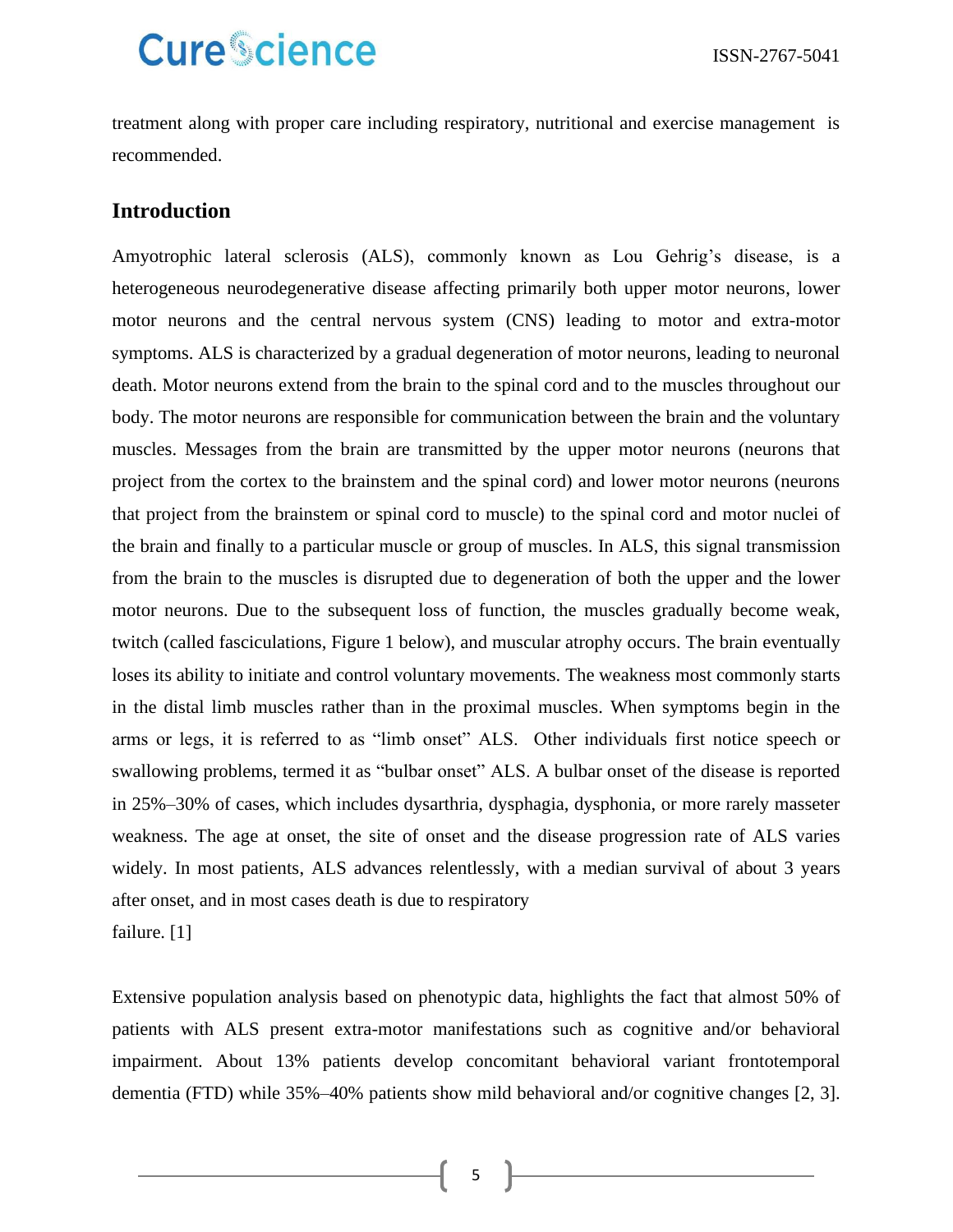treatment along with proper care including respiratory, nutritional and exercise management is recommended.

### <span id="page-4-0"></span>**Introduction**

Amyotrophic lateral sclerosis (ALS), commonly known as Lou Gehrig's disease, is a heterogeneous neurodegenerative disease affecting primarily both upper motor neurons, lower motor neurons and the central nervous system (CNS) leading to motor and extra-motor symptoms. ALS is characterized by a gradual degeneration of motor neurons, leading to neuronal death. Motor neurons extend from the brain to the spinal cord and to the muscles throughout our body. The motor neurons are responsible for communication between the brain and the voluntary muscles. Messages from the brain are transmitted by the upper motor neurons (neurons that project from the cortex to the brainstem and the spinal cord) and lower motor neurons (neurons that project from the brainstem or spinal cord to muscle) to the spinal cord and motor nuclei of the brain and finally to a particular muscle or group of muscles. In ALS, this signal transmission from the brain to the muscles is disrupted due to degeneration of both the upper and the lower motor neurons. Due to the subsequent loss of function, the muscles gradually become weak, twitch (called fasciculations, Figure 1 below), and muscular atrophy occurs. The brain eventually loses its ability to initiate and control voluntary movements. The weakness most commonly starts in the distal limb muscles rather than in the proximal muscles. When symptoms begin in the arms or legs, it is referred to as "limb onset" ALS. Other individuals first notice speech or swallowing problems, termed it as "bulbar onset" ALS. A bulbar onset of the disease is reported in 25%–30% of cases, which includes dysarthria, dysphagia, dysphonia, or more rarely masseter weakness. The age at onset, the site of onset and the disease progression rate of ALS varies widely. In most patients, ALS advances relentlessly, with a median survival of about 3 years after onset, and in most cases death is due to respiratory

failure. [1]

Extensive population analysis based on phenotypic data, highlights the fact that almost 50% of patients with ALS present extra-motor manifestations such as cognitive and/or behavioral impairment. About 13% patients develop concomitant behavioral variant frontotemporal dementia (FTD) while 35%–40% patients show mild behavioral and/or cognitive changes [2, 3].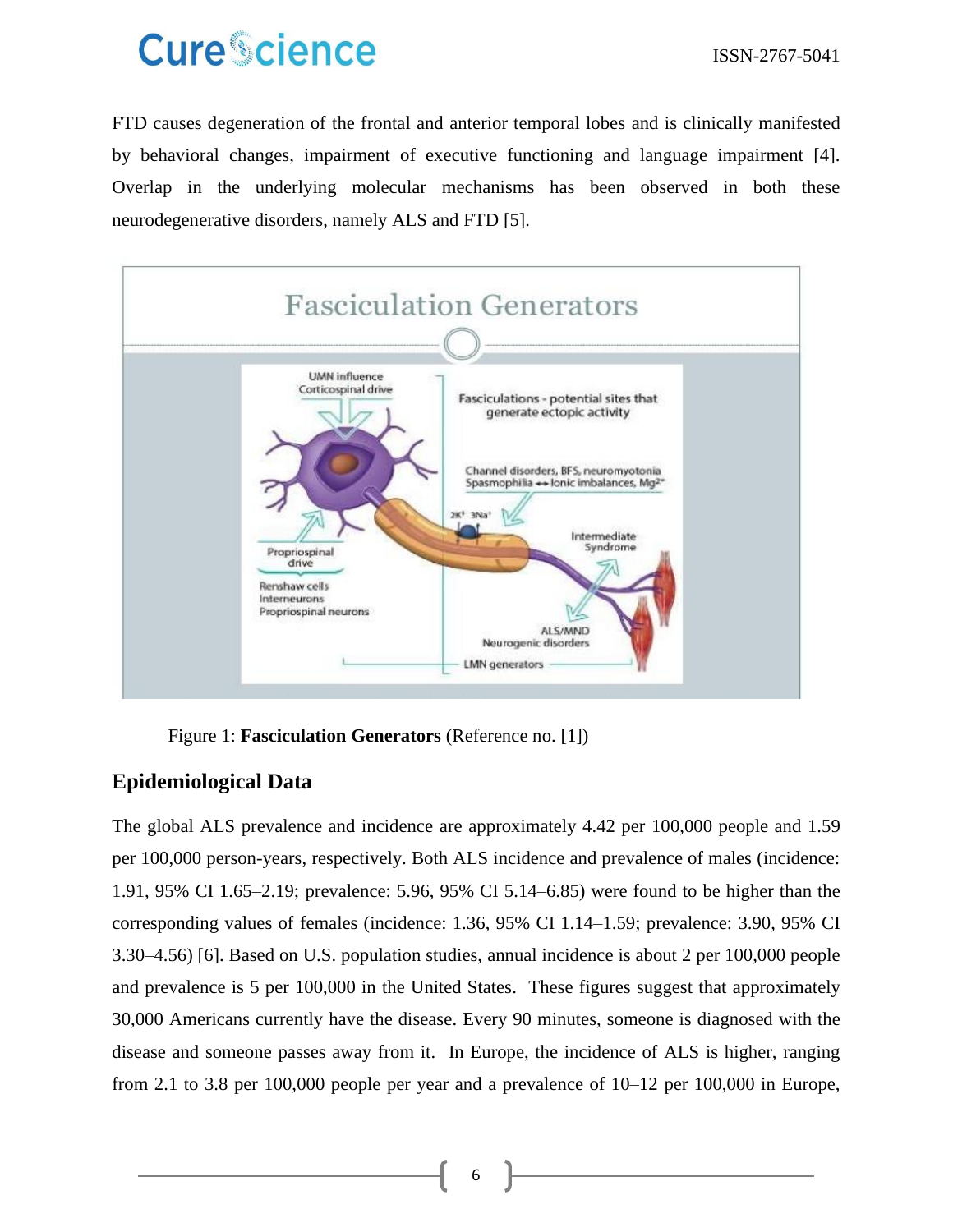FTD causes degeneration of the frontal and anterior temporal lobes and is clinically manifested by behavioral changes, impairment of executive functioning and language impairment [4]. Overlap in the underlying molecular mechanisms has been observed in both these neurodegenerative disorders, namely ALS and FTD [5].



Figure 1: **Fasciculation Generators** (Reference no. [1])

### <span id="page-5-0"></span>**Epidemiological Data**

The global ALS prevalence and incidence are approximately 4.42 per 100,000 people and 1.59 per 100,000 person-years, respectively. Both ALS incidence and prevalence of males (incidence: 1.91, 95% CI 1.65–2.19; prevalence: 5.96, 95% CI 5.14–6.85) were found to be higher than the corresponding values of females (incidence: 1.36, 95% CI 1.14–1.59; prevalence: 3.90, 95% CI 3.30–4.56) [6]. Based on U.S. population studies, annual incidence is about 2 per 100,000 people and prevalence is 5 per 100,000 in the United States. These figures suggest that approximately 30,000 Americans currently have the disease. Every 90 minutes, someone is diagnosed with the disease and someone passes away from it. In Europe, the incidence of ALS is higher, ranging from 2.1 to 3.8 per 100,000 people per year and a prevalence of 10–12 per 100,000 in Europe,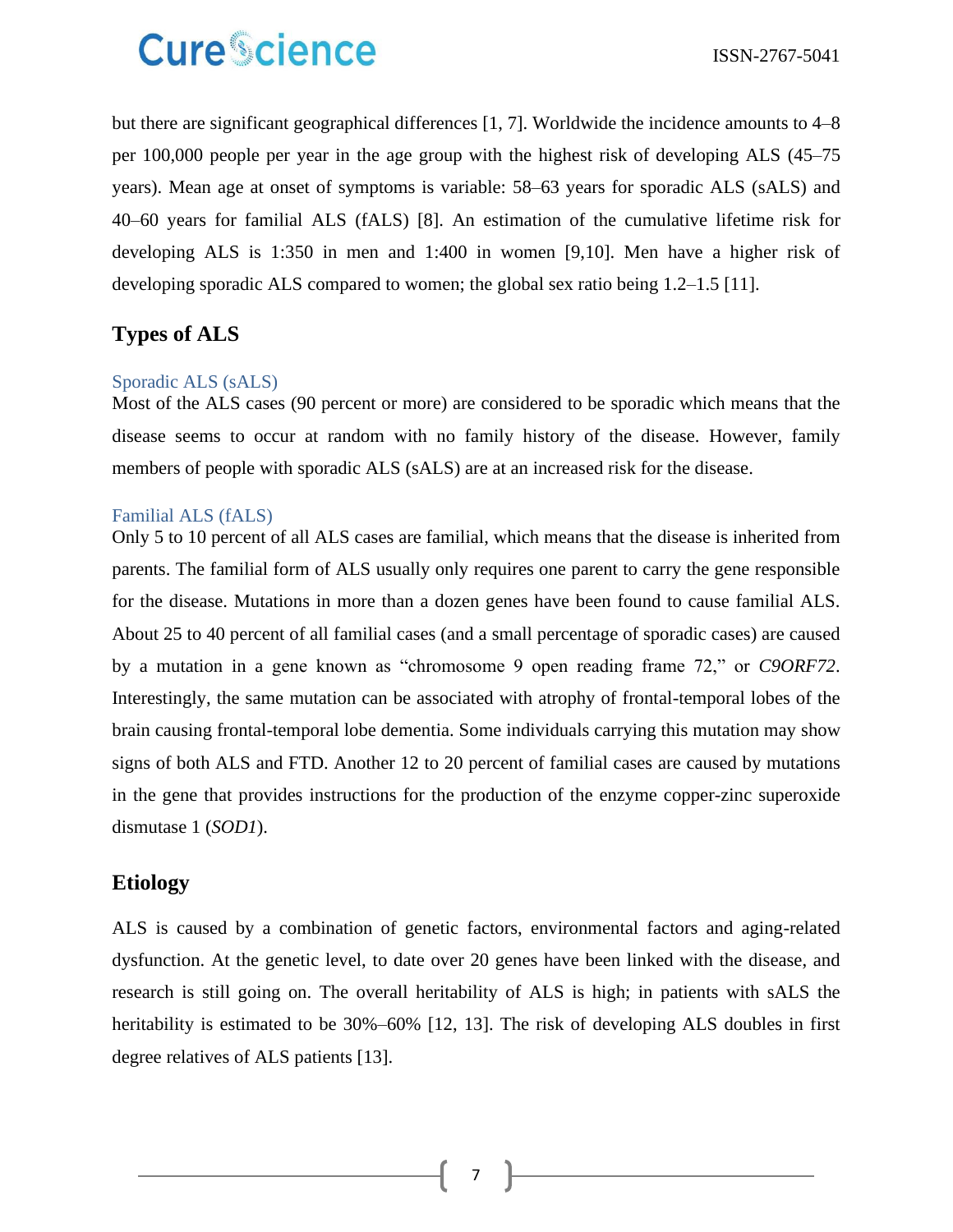but there are significant geographical differences [1, 7]. Worldwide the incidence amounts to 4–8 per 100,000 people per year in the age group with the highest risk of developing ALS (45–75 years). Mean age at onset of symptoms is variable: 58–63 years for sporadic ALS (sALS) and 40–60 years for familial ALS (fALS) [8]. An estimation of the cumulative lifetime risk for developing ALS is 1:350 in men and 1:400 in women [9,10]. Men have a higher risk of developing sporadic ALS compared to women; the global sex ratio being 1.2–1.5 [11].

### <span id="page-6-0"></span>**Types of ALS**

### <span id="page-6-1"></span>Sporadic ALS (sALS)

Most of the ALS cases (90 percent or more) are considered to be sporadic which means that the disease seems to occur at random with no family history of the disease. However, family members of people with sporadic ALS (sALS) are at an increased risk for the disease.

#### <span id="page-6-2"></span>Familial ALS (fALS)

Only 5 to 10 percent of all ALS cases are familial, which means that the disease is inherited from parents. The familial form of ALS usually only requires one parent to carry the gene responsible for the disease. Mutations in more than a dozen genes have been found to cause familial ALS. About 25 to 40 percent of all familial cases (and a small percentage of sporadic cases) are caused by a mutation in a gene known as "chromosome 9 open reading frame 72," or *C9ORF72*. Interestingly, the same mutation can be associated with atrophy of frontal-temporal lobes of the brain causing frontal-temporal lobe dementia. Some individuals carrying this mutation may show signs of both ALS and FTD. Another 12 to 20 percent of familial cases are caused by mutations in the gene that provides instructions for the production of the enzyme copper-zinc superoxide dismutase 1 (*SOD1*).

### <span id="page-6-3"></span>**Etiology**

<span id="page-6-4"></span>ALS is caused by a combination of genetic factors, environmental factors and aging-related dysfunction. At the genetic level, to date over 20 genes have been linked with the disease, and research is still going on. The overall heritability of ALS is high; in patients with sALS the heritability is estimated to be 30%–60% [12, 13]. The risk of developing ALS doubles in first degree relatives of ALS patients [13].

7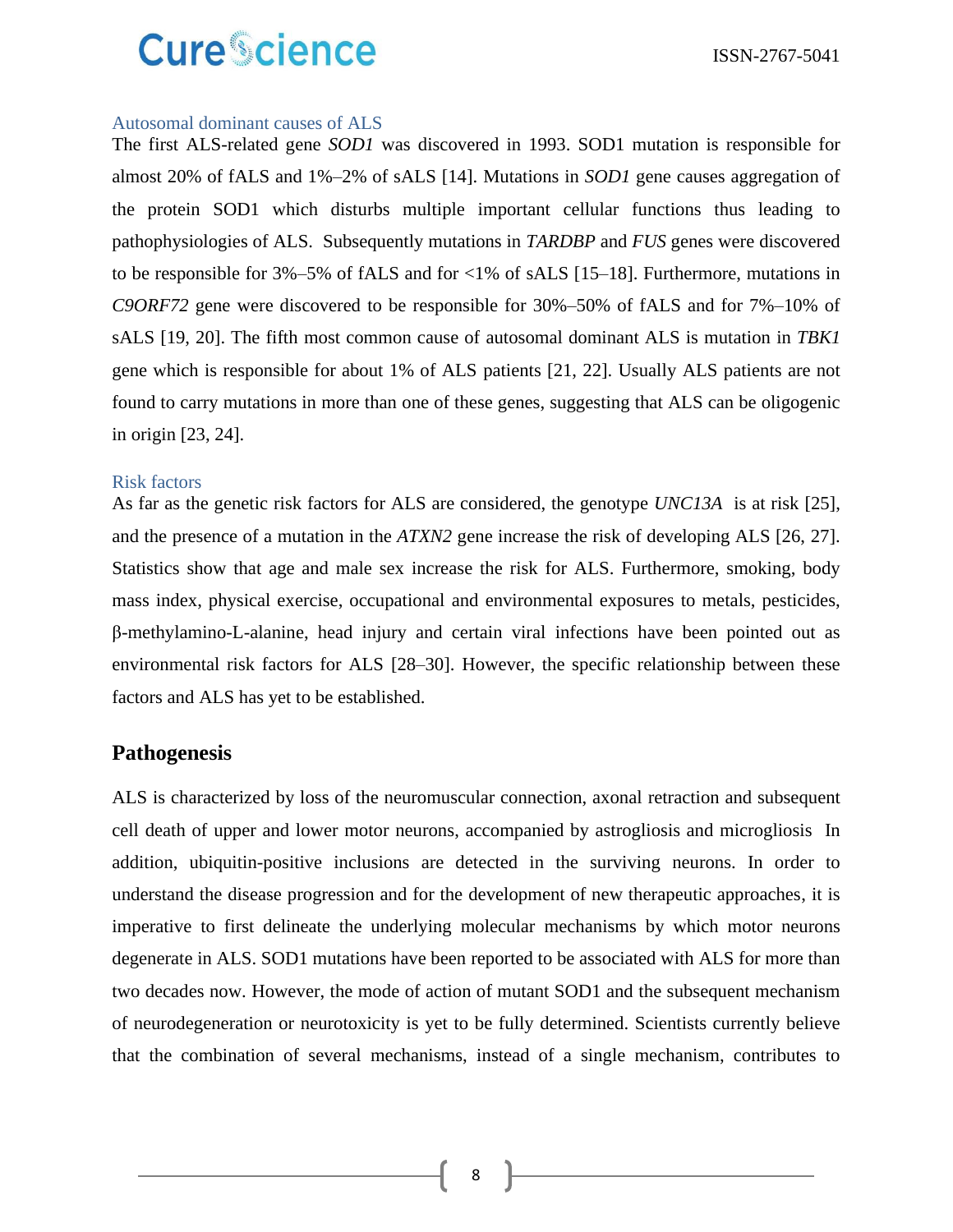#### Autosomal dominant causes of ALS

The first ALS-related gene *SOD1* was discovered in 1993. SOD1 mutation is responsible for almost 20% of fALS and 1%–2% of sALS [14]. Mutations in *SOD1* gene causes aggregation of the protein SOD1 which disturbs multiple important cellular functions thus leading to pathophysiologies of ALS. Subsequently mutations in *TARDBP* and *FUS* genes were discovered to be responsible for 3%–5% of fALS and for <1% of sALS [15–18]. Furthermore, mutations in *C9ORF72* gene were discovered to be responsible for 30%–50% of fALS and for 7%–10% of sALS [19, 20]. The fifth most common cause of autosomal dominant ALS is mutation in *TBK1* gene which is responsible for about 1% of ALS patients [21, 22]. Usually ALS patients are not found to carry mutations in more than one of these genes, suggesting that ALS can be oligogenic in origin [23, 24].

#### <span id="page-7-0"></span>Risk factors

As far as the genetic risk factors for ALS are considered, the genotype *UNC13A* is at risk [25], and the presence of a mutation in the *ATXN2* gene increase the risk of developing ALS [26, 27]. Statistics show that age and male sex increase the risk for ALS. Furthermore, smoking, body mass index, physical exercise, occupational and environmental exposures to metals, pesticides, β-methylamino-L-alanine, head injury and certain viral infections have been pointed out as environmental risk factors for ALS [28–30]. However, the specific relationship between these factors and ALS has yet to be established.

### <span id="page-7-1"></span>**Pathogenesis**

ALS is characterized by loss of the neuromuscular connection, axonal retraction and subsequent cell death of upper and lower motor neurons, accompanied by astrogliosis and microgliosis In addition, ubiquitin-positive inclusions are detected in the surviving neurons. In order to understand the disease progression and for the development of new therapeutic approaches, it is imperative to first delineate the underlying molecular mechanisms by which motor neurons degenerate in ALS. SOD1 mutations have been reported to be associated with ALS for more than two decades now. However, the mode of action of mutant SOD1 and the subsequent mechanism of neurodegeneration or neurotoxicity is yet to be fully determined. Scientists currently believe that the combination of several mechanisms, instead of a single mechanism, contributes to

8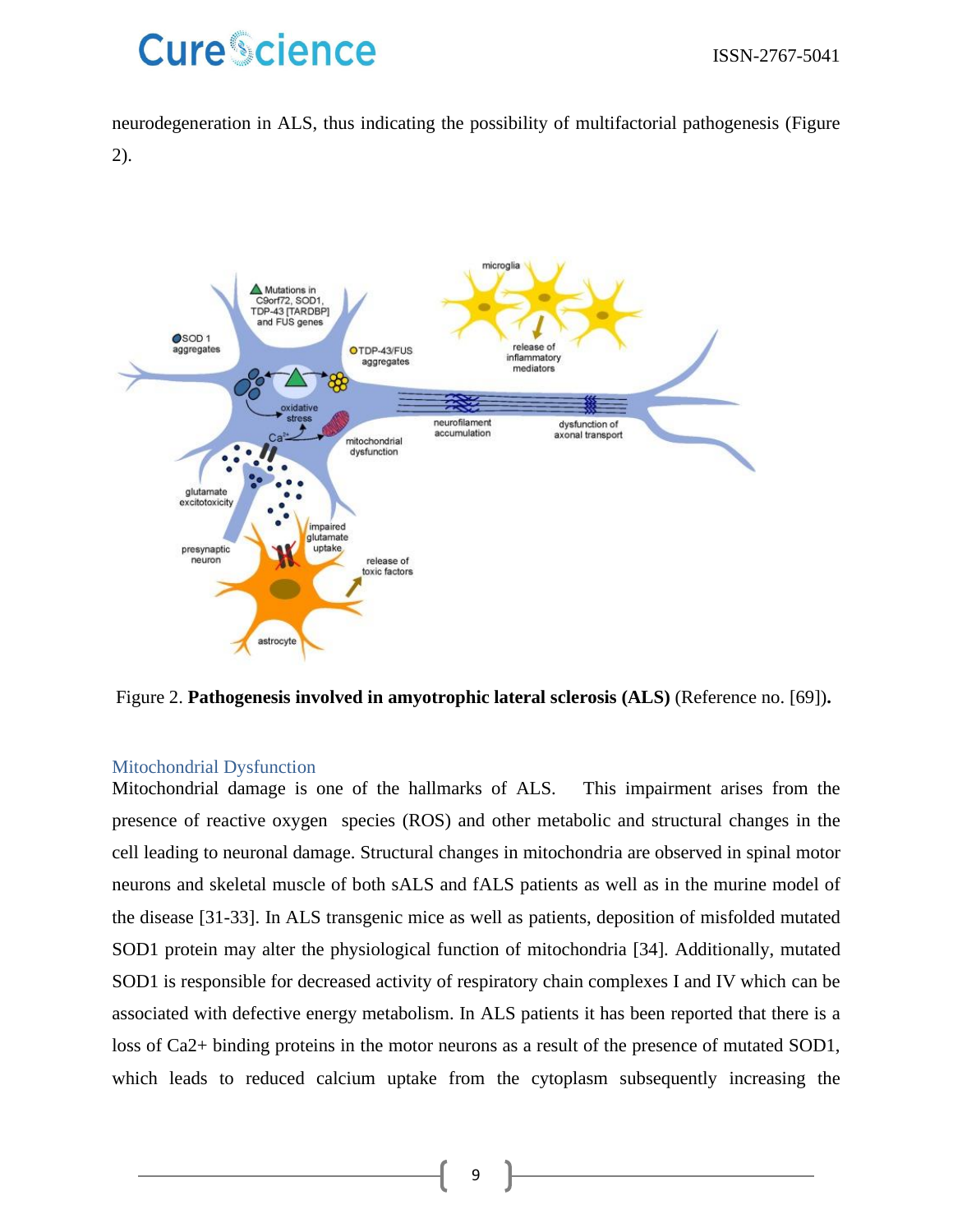neurodegeneration in ALS, thus indicating the possibility of multifactorial pathogenesis (Figure 2).

<span id="page-8-0"></span>

Figure 2. **Pathogenesis involved in amyotrophic lateral sclerosis (ALS)** (Reference no. [69])**.**

### Mitochondrial Dysfunction

Mitochondrial damage is one of the hallmarks of ALS. This impairment arises from the presence of reactive oxygen species (ROS) and other metabolic and structural changes in the cell leading to neuronal damage. Structural changes in mitochondria are observed in spinal motor neurons and skeletal muscle of both sALS and fALS patients as well as in the murine model of the disease [31-33]. In ALS transgenic mice as well as patients, deposition of misfolded mutated SOD1 protein may alter the physiological function of mitochondria [34]. Additionally, mutated SOD1 is responsible for decreased activity of respiratory chain complexes I and IV which can be associated with defective energy metabolism. In ALS patients it has been reported that there is a loss of Ca2+ binding proteins in the motor neurons as a result of the presence of mutated SOD1, which leads to reduced calcium uptake from the cytoplasm subsequently increasing the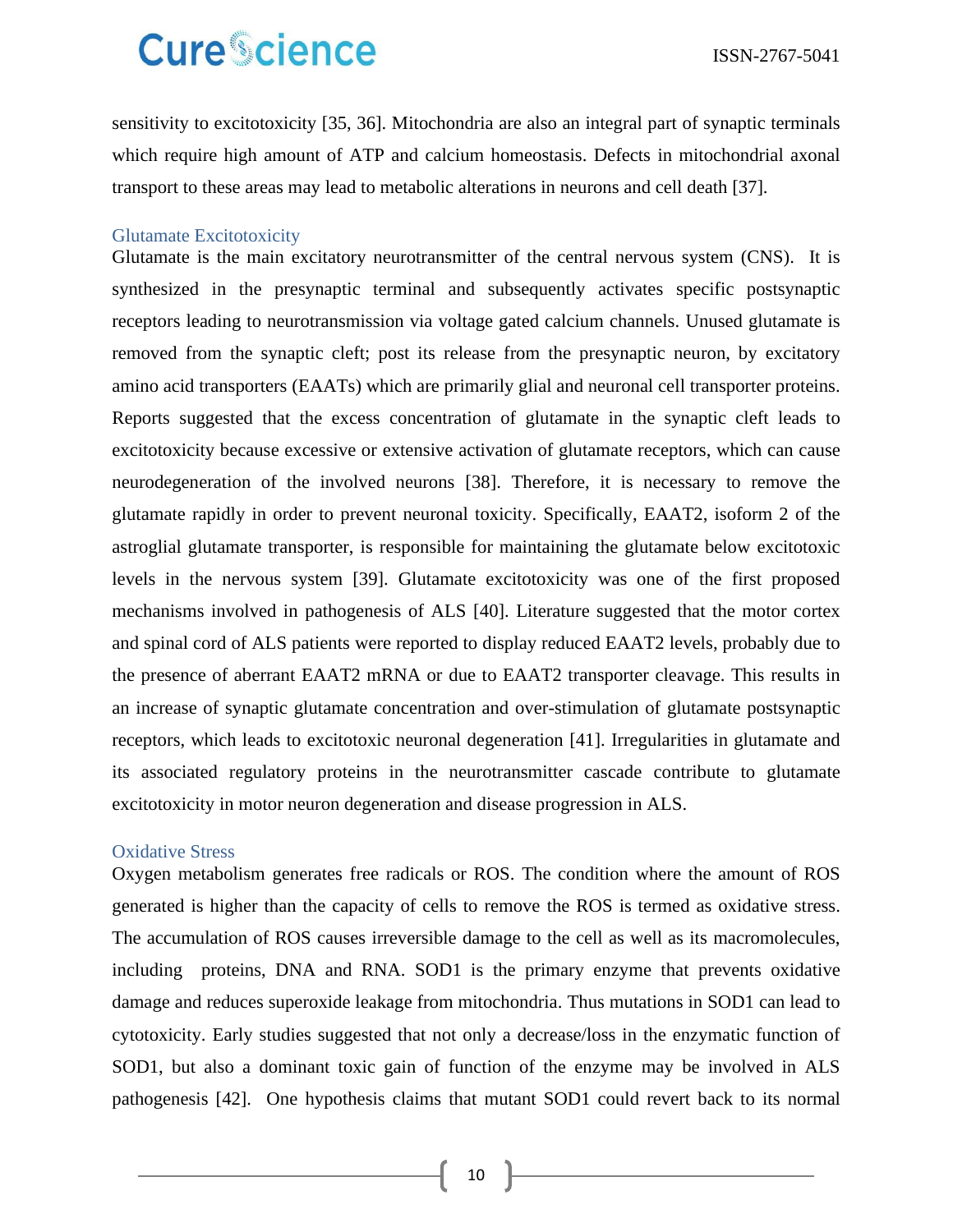sensitivity to excitotoxicity [35, 36]. Mitochondria are also an integral part of synaptic terminals which require high amount of ATP and calcium homeostasis. Defects in mitochondrial axonal transport to these areas may lead to metabolic alterations in neurons and cell death [37].

#### <span id="page-9-0"></span>Glutamate Excitotoxicity

Glutamate is the main excitatory neurotransmitter of the central nervous system (CNS). It is synthesized in the presynaptic terminal and subsequently activates specific postsynaptic receptors leading to neurotransmission via voltage gated calcium channels. Unused glutamate is removed from the synaptic cleft; post its release from the presynaptic neuron, by excitatory amino acid transporters (EAATs) which are primarily glial and neuronal cell transporter proteins. Reports suggested that the excess concentration of glutamate in the synaptic cleft leads to excitotoxicity because excessive or extensive activation of glutamate receptors, which can cause neurodegeneration of the involved neurons [38]. Therefore, it is necessary to remove the glutamate rapidly in order to prevent neuronal toxicity. Specifically, EAAT2, isoform 2 of the astroglial glutamate transporter, is responsible for maintaining the glutamate below excitotoxic levels in the nervous system [39]. Glutamate excitotoxicity was one of the first proposed mechanisms involved in pathogenesis of ALS [40]. Literature suggested that the motor cortex and spinal cord of ALS patients were reported to display reduced EAAT2 levels, probably due to the presence of aberrant EAAT2 mRNA or due to EAAT2 transporter cleavage. This results in an increase of synaptic glutamate concentration and over-stimulation of glutamate postsynaptic receptors, which leads to excitotoxic neuronal degeneration [41]. Irregularities in glutamate and its associated regulatory proteins in the neurotransmitter cascade contribute to glutamate excitotoxicity in motor neuron degeneration and disease progression in ALS.

#### <span id="page-9-1"></span>Oxidative Stress

Oxygen metabolism generates free radicals or ROS. The condition where the amount of ROS generated is higher than the capacity of cells to remove the ROS is termed as oxidative stress. The accumulation of ROS causes irreversible damage to the cell as well as its macromolecules, including proteins, DNA and RNA. SOD1 is the primary enzyme that prevents oxidative damage and reduces superoxide leakage from mitochondria. Thus mutations in SOD1 can lead to cytotoxicity. Early studies suggested that not only a decrease/loss in the enzymatic function of SOD1, but also a dominant toxic gain of function of the enzyme may be involved in ALS pathogenesis [42]. One hypothesis claims that mutant SOD1 could revert back to its normal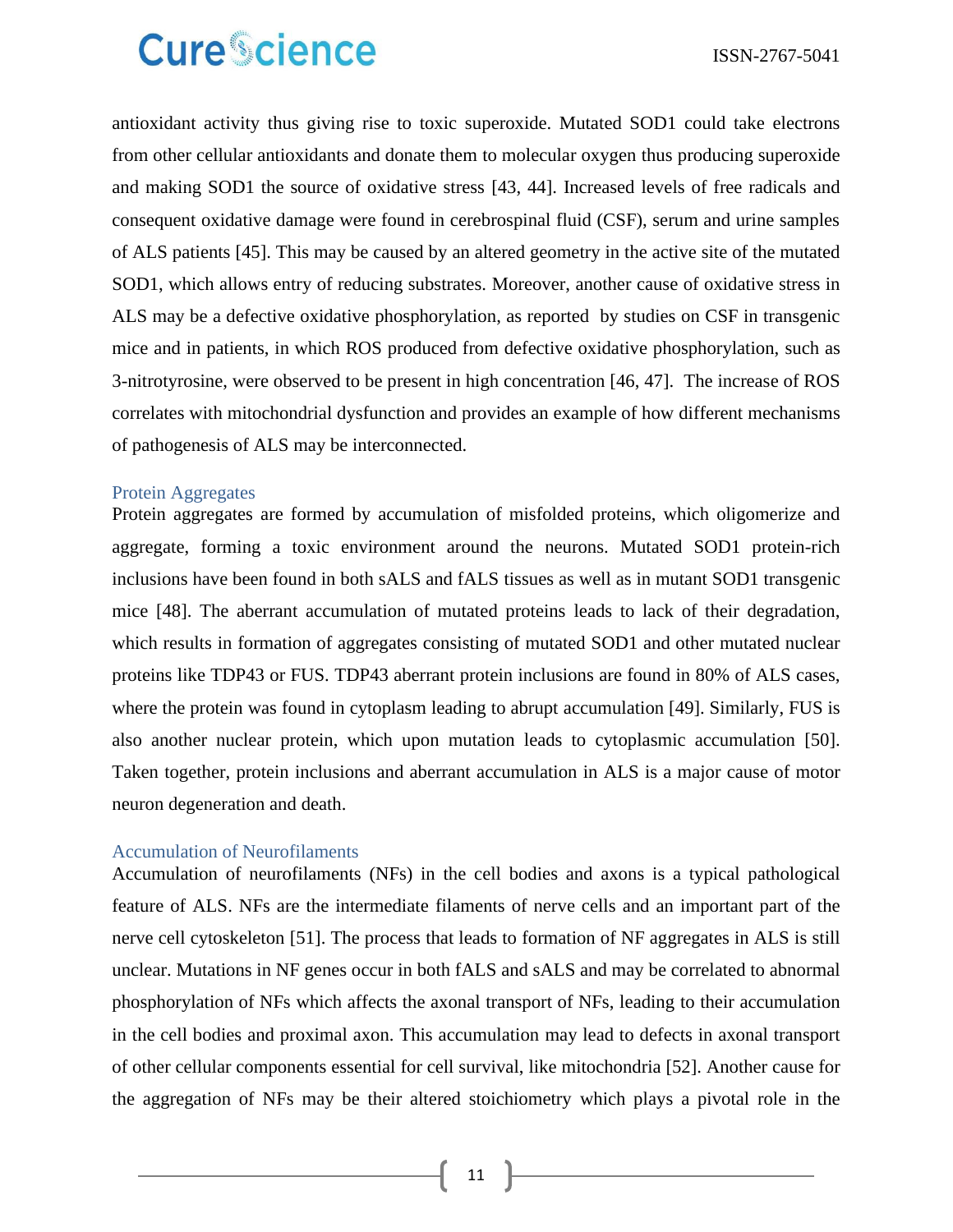antioxidant activity thus giving rise to toxic superoxide. Mutated SOD1 could take electrons from other cellular antioxidants and donate them to molecular oxygen thus producing superoxide and making SOD1 the source of oxidative stress [43, 44]. Increased levels of free radicals and consequent oxidative damage were found in cerebrospinal fluid (CSF), serum and urine samples of ALS patients [45]. This may be caused by an altered geometry in the active site of the mutated SOD1, which allows entry of reducing substrates. Moreover, another cause of oxidative stress in ALS may be a defective oxidative phosphorylation, as reported by studies on CSF in transgenic mice and in patients, in which ROS produced from defective oxidative phosphorylation, such as 3-nitrotyrosine, were observed to be present in high concentration [46, 47]. The increase of ROS correlates with mitochondrial dysfunction and provides an example of how different mechanisms of pathogenesis of ALS may be interconnected.

#### <span id="page-10-0"></span>Protein Aggregates

Protein aggregates are formed by accumulation of misfolded proteins, which oligomerize and aggregate, forming a toxic environment around the neurons. Mutated SOD1 protein-rich inclusions have been found in both sALS and fALS tissues as well as in mutant SOD1 transgenic mice [48]. The aberrant accumulation of mutated proteins leads to lack of their degradation, which results in formation of aggregates consisting of mutated SOD1 and other mutated nuclear proteins like TDP43 or FUS. TDP43 aberrant protein inclusions are found in 80% of ALS cases, where the protein was found in cytoplasm leading to abrupt accumulation [49]. Similarly, FUS is also another nuclear protein, which upon mutation leads to cytoplasmic accumulation [50]. Taken together, protein inclusions and aberrant accumulation in ALS is a major cause of motor neuron degeneration and death.

#### <span id="page-10-1"></span>Accumulation of Neurofilaments

Accumulation of neurofilaments (NFs) in the cell bodies and axons is a typical pathological feature of ALS. NFs are the intermediate filaments of nerve cells and an important part of the nerve cell cytoskeleton [51]. The process that leads to formation of NF aggregates in ALS is still unclear. Mutations in NF genes occur in both fALS and sALS and may be correlated to abnormal phosphorylation of NFs which affects the axonal transport of NFs, leading to their accumulation in the cell bodies and proximal axon. This accumulation may lead to defects in axonal transport of other cellular components essential for cell survival, like mitochondria [52]. Another cause for the aggregation of NFs may be their altered stoichiometry which plays a pivotal role in the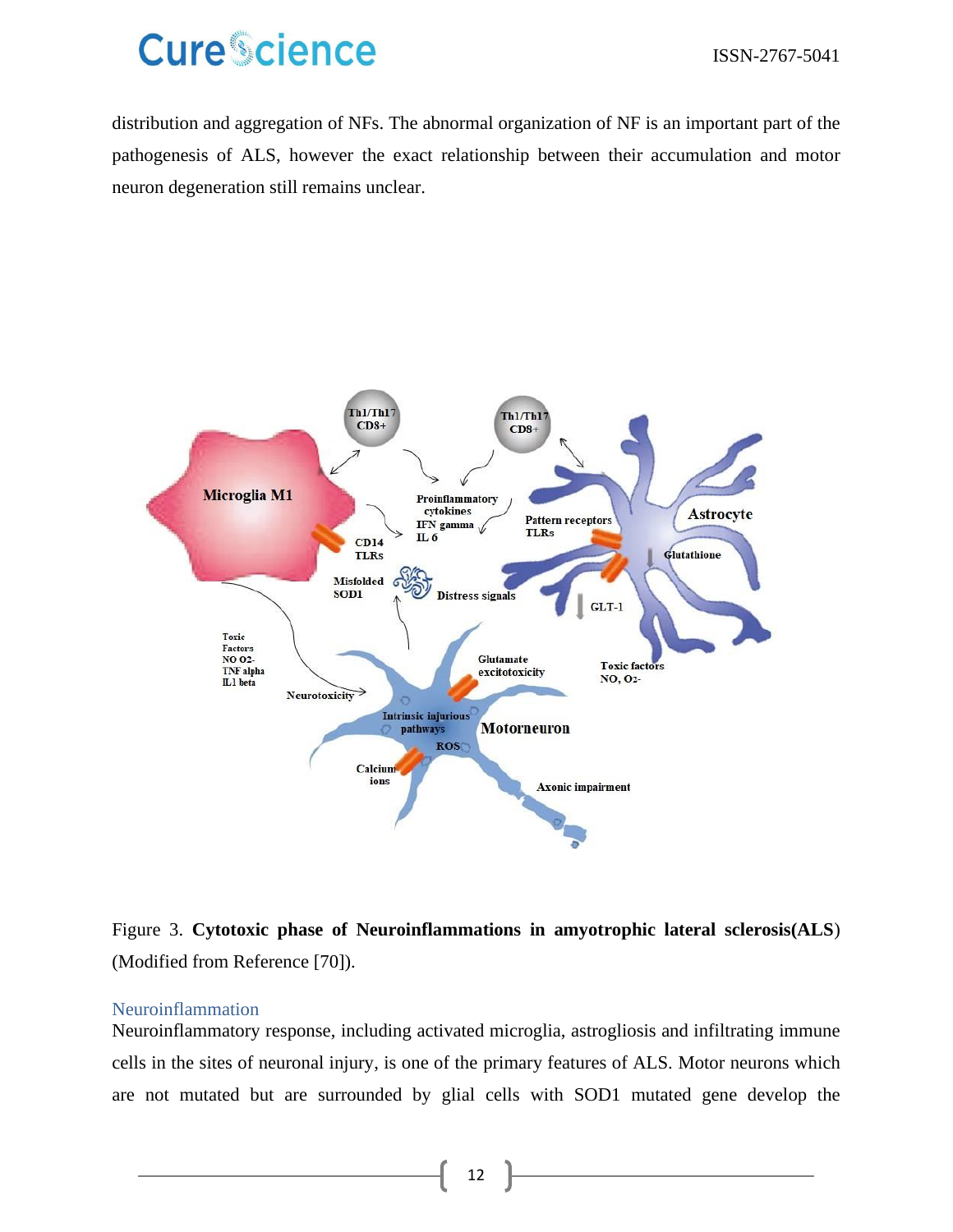<span id="page-11-0"></span>distribution and aggregation of NFs. The abnormal organization of NF is an important part of the pathogenesis of ALS, however the exact relationship between their accumulation and motor neuron degeneration still remains unclear.





#### Neuroinflammation

Neuroinflammatory response, including activated microglia, astrogliosis and infiltrating immune cells in the sites of neuronal injury, is one of the primary features of ALS. Motor neurons which are not mutated but are surrounded by glial cells with SOD1 mutated gene develop the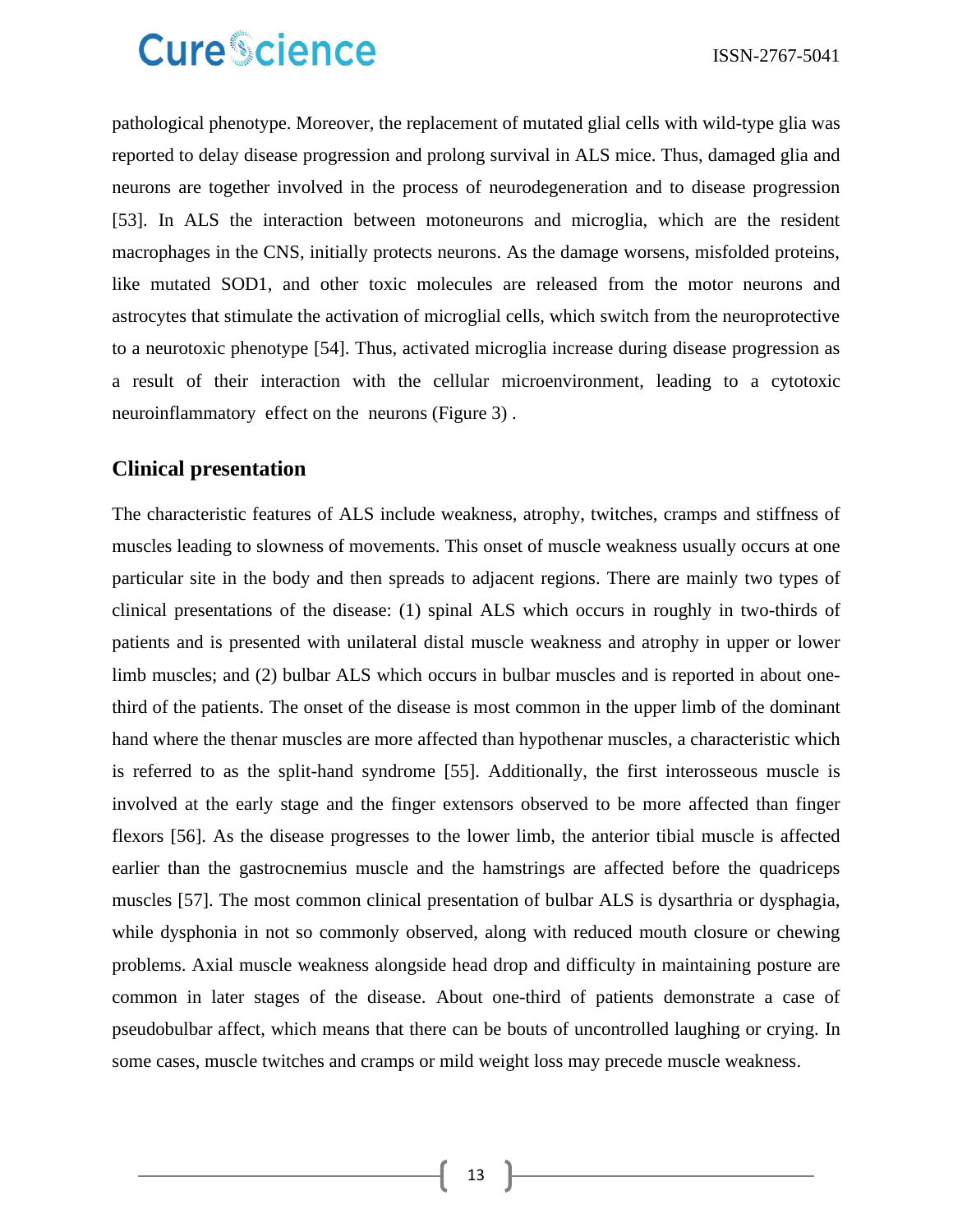pathological phenotype. Moreover, the replacement of mutated glial cells with wild-type glia was reported to delay disease progression and prolong survival in ALS mice. Thus, damaged glia and neurons are together involved in the process of neurodegeneration and to disease progression [53]. In ALS the interaction between motoneurons and microglia, which are the resident macrophages in the CNS, initially protects neurons. As the damage worsens, misfolded proteins, like mutated SOD1, and other toxic molecules are released from the motor neurons and astrocytes that stimulate the activation of microglial cells, which switch from the neuroprotective to a neurotoxic phenotype [54]. Thus, activated microglia increase during disease progression as a result of their interaction with the cellular microenvironment, leading to a cytotoxic neuroinflammatory effect on the neurons (Figure 3) .

### <span id="page-12-0"></span>**Clinical presentation**

The characteristic features of ALS include weakness, atrophy, twitches, cramps and stiffness of muscles leading to slowness of movements. This onset of muscle weakness usually occurs at one particular site in the body and then spreads to adjacent regions. There are mainly two types of clinical presentations of the disease: (1) spinal ALS which occurs in roughly in two-thirds of patients and is presented with unilateral distal muscle weakness and atrophy in upper or lower limb muscles; and (2) bulbar ALS which occurs in bulbar muscles and is reported in about onethird of the patients. The onset of the disease is most common in the upper limb of the dominant hand where the thenar muscles are more affected than hypothenar muscles, a characteristic which is referred to as the split-hand syndrome [55]. Additionally, the first interosseous muscle is involved at the early stage and the finger extensors observed to be more affected than finger flexors [56]. As the disease progresses to the lower limb, the anterior tibial muscle is affected earlier than the gastrocnemius muscle and the hamstrings are affected before the quadriceps muscles [57]. The most common clinical presentation of bulbar ALS is dysarthria or dysphagia, while dysphonia in not so commonly observed, along with reduced mouth closure or chewing problems. Axial muscle weakness alongside head drop and difficulty in maintaining posture are common in later stages of the disease. About one-third of patients demonstrate a case of pseudobulbar affect, which means that there can be bouts of uncontrolled laughing or crying. In some cases, muscle twitches and cramps or mild weight loss may precede muscle weakness.

13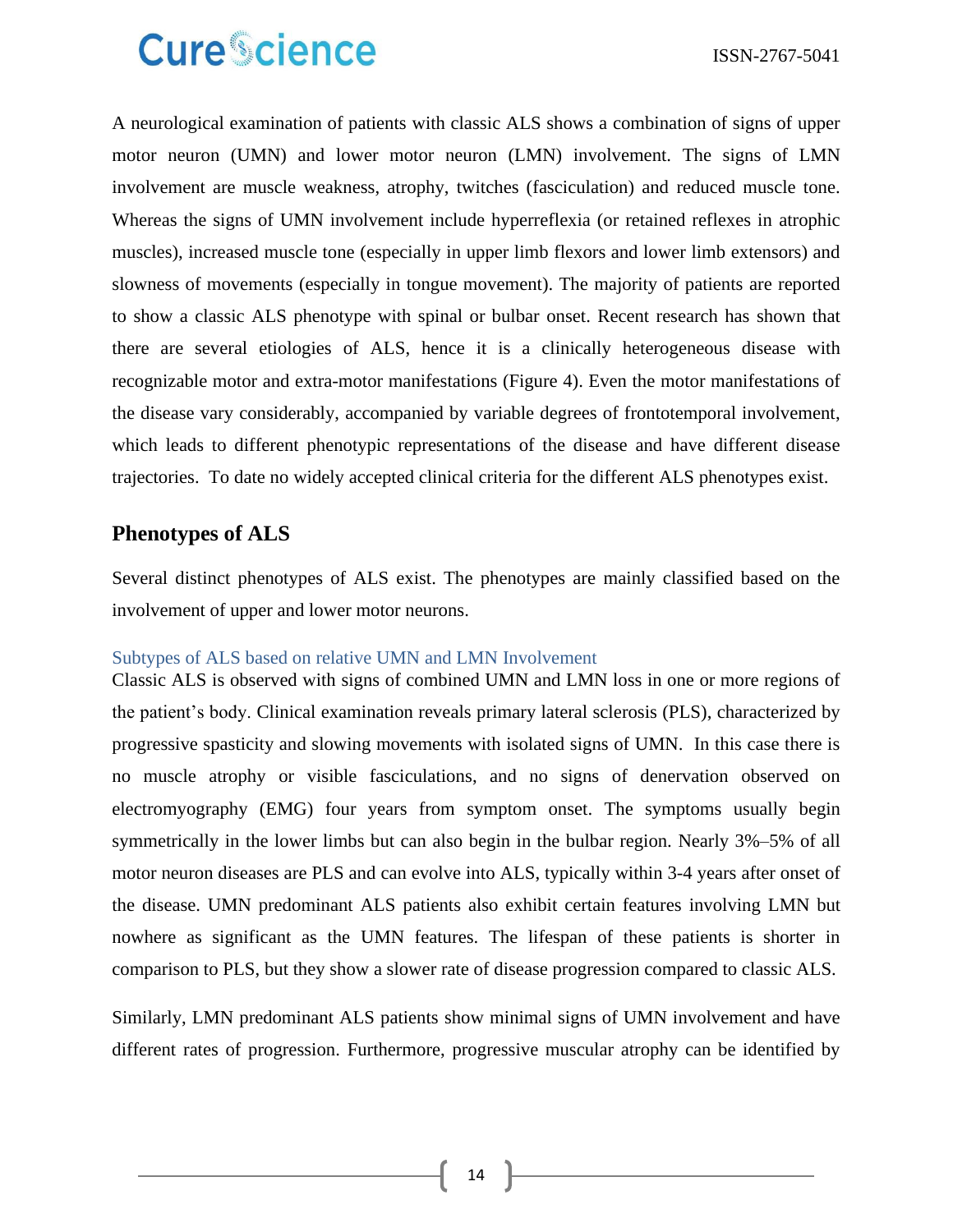A neurological examination of patients with classic ALS shows a combination of signs of upper motor neuron (UMN) and lower motor neuron (LMN) involvement. The signs of LMN involvement are muscle weakness, atrophy, twitches (fasciculation) and reduced muscle tone. Whereas the signs of UMN involvement include hyperreflexia (or retained reflexes in atrophic muscles), increased muscle tone (especially in upper limb flexors and lower limb extensors) and slowness of movements (especially in tongue movement). The majority of patients are reported to show a classic ALS phenotype with spinal or bulbar onset. Recent research has shown that there are several etiologies of ALS, hence it is a clinically heterogeneous disease with recognizable motor and extra-motor manifestations (Figure 4). Even the motor manifestations of the disease vary considerably, accompanied by variable degrees of frontotemporal involvement, which leads to different phenotypic representations of the disease and have different disease trajectories. To date no widely accepted clinical criteria for the different ALS phenotypes exist.

### <span id="page-13-0"></span>**Phenotypes of ALS**

Several distinct phenotypes of ALS exist. The phenotypes are mainly classified based on the involvement of upper and lower motor neurons.

#### <span id="page-13-1"></span>Subtypes of ALS based on relative UMN and LMN Involvement

Classic ALS is observed with signs of combined UMN and LMN loss in one or more regions of the patient's body. Clinical examination reveals primary lateral sclerosis (PLS), characterized by progressive spasticity and slowing movements with isolated signs of UMN. In this case there is no muscle atrophy or visible fasciculations, and no signs of denervation observed on electromyography (EMG) four years from symptom onset. The symptoms usually begin symmetrically in the lower limbs but can also begin in the bulbar region. Nearly 3%–5% of all motor neuron diseases are PLS and can evolve into ALS, typically within 3-4 years after onset of the disease. UMN predominant ALS patients also exhibit certain features involving LMN but nowhere as significant as the UMN features. The lifespan of these patients is shorter in comparison to PLS, but they show a slower rate of disease progression compared to classic ALS.

Similarly, LMN predominant ALS patients show minimal signs of UMN involvement and have different rates of progression. Furthermore, progressive muscular atrophy can be identified by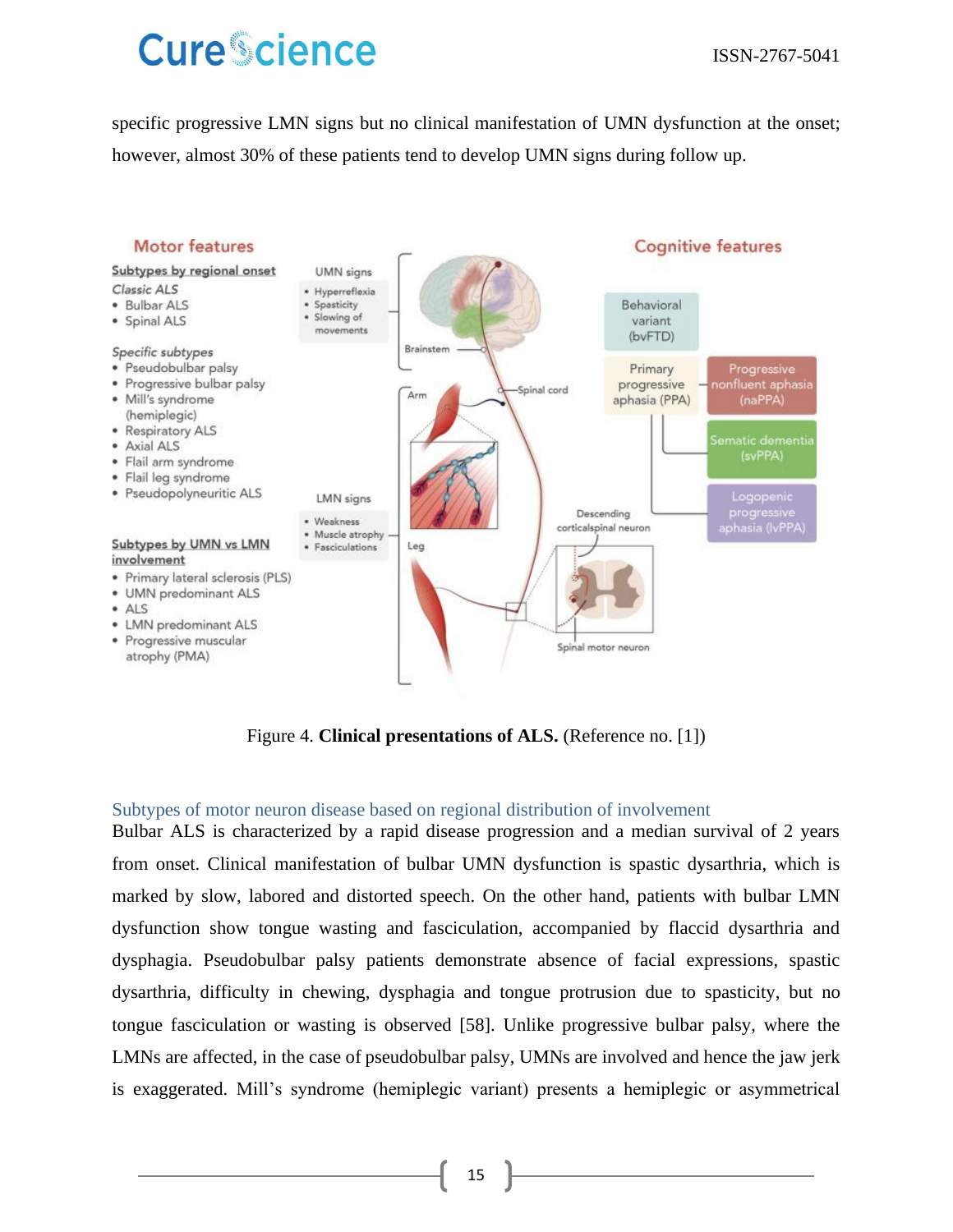specific progressive LMN signs but no clinical manifestation of UMN dysfunction at the onset; however, almost 30% of these patients tend to develop UMN signs during follow up.



Figure 4. **Clinical presentations of ALS.** (Reference no. [1])

<span id="page-14-0"></span>Subtypes of motor neuron disease based on regional distribution of involvement Bulbar ALS is characterized by a rapid disease progression and a median survival of 2 years from onset. Clinical manifestation of bulbar UMN dysfunction is spastic dysarthria, which is marked by slow, labored and distorted speech. On the other hand, patients with bulbar LMN dysfunction show tongue wasting and fasciculation, accompanied by flaccid dysarthria and dysphagia. Pseudobulbar palsy patients demonstrate absence of facial expressions, spastic dysarthria, difficulty in chewing, dysphagia and tongue protrusion due to spasticity, but no tongue fasciculation or wasting is observed [58]. Unlike progressive bulbar palsy, where the LMNs are affected, in the case of pseudobulbar palsy, UMNs are involved and hence the jaw jerk is exaggerated. Mill's syndrome (hemiplegic variant) presents a hemiplegic or asymmetrical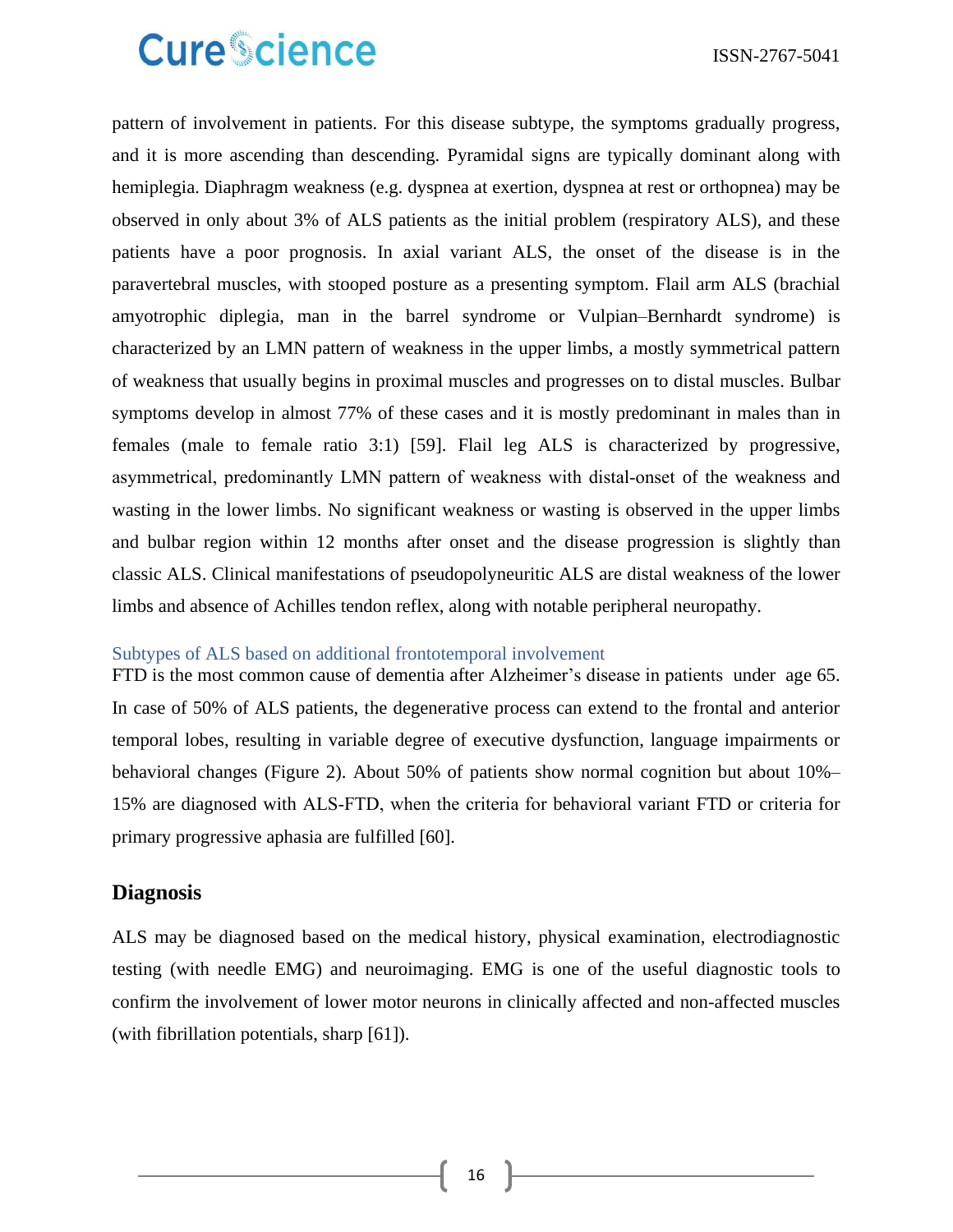pattern of involvement in patients. For this disease subtype, the symptoms gradually progress, and it is more ascending than descending. Pyramidal signs are typically dominant along with hemiplegia. Diaphragm weakness (e.g. dyspnea at exertion, dyspnea at rest or orthopnea) may be observed in only about 3% of ALS patients as the initial problem (respiratory ALS), and these patients have a poor prognosis. In axial variant ALS, the onset of the disease is in the paravertebral muscles, with stooped posture as a presenting symptom. Flail arm ALS (brachial amyotrophic diplegia, man in the barrel syndrome or Vulpian–Bernhardt syndrome) is characterized by an LMN pattern of weakness in the upper limbs, a mostly symmetrical pattern of weakness that usually begins in proximal muscles and progresses on to distal muscles. Bulbar symptoms develop in almost 77% of these cases and it is mostly predominant in males than in females (male to female ratio 3:1) [59]. Flail leg ALS is characterized by progressive, asymmetrical, predominantly LMN pattern of weakness with distal‐onset of the weakness and wasting in the lower limbs. No significant weakness or wasting is observed in the upper limbs and bulbar region within 12 months after onset and the disease progression is slightly than classic ALS. Clinical manifestations of pseudopolyneuritic ALS are distal weakness of the lower limbs and absence of Achilles tendon reflex, along with notable peripheral neuropathy.

#### <span id="page-15-0"></span>Subtypes of ALS based on additional frontotemporal involvement

FTD is the most common cause of dementia after Alzheimer's disease in patients under age 65. In case of 50% of ALS patients, the degenerative process can extend to the frontal and anterior temporal lobes, resulting in variable degree of executive dysfunction, language impairments or behavioral changes (Figure 2). About 50% of patients show normal cognition but about 10%– 15% are diagnosed with ALS‐FTD, when the criteria for behavioral variant FTD or criteria for primary progressive aphasia are fulfilled [60].

### <span id="page-15-1"></span>**Diagnosis**

ALS may be diagnosed based on the medical history, physical examination, electrodiagnostic testing (with needle EMG) and neuroimaging. EMG is one of the useful diagnostic tools to confirm the involvement of lower motor neurons in clinically affected and non-affected muscles (with fibrillation potentials, sharp [61]).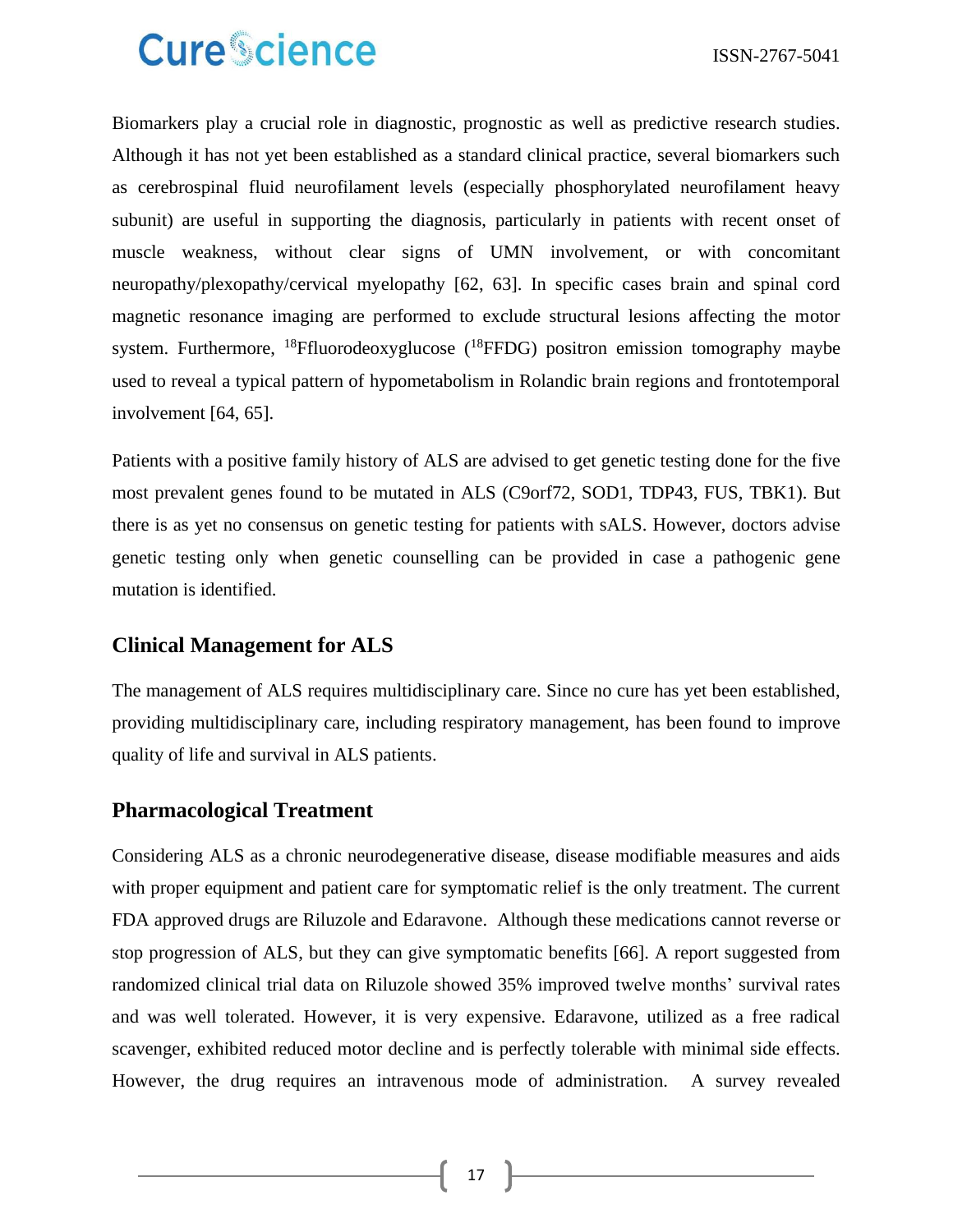Biomarkers play a crucial role in diagnostic, prognostic as well as predictive research studies. Although it has not yet been established as a standard clinical practice, several biomarkers such as cerebrospinal fluid neurofilament levels (especially phosphorylated neurofilament heavy subunit) are useful in supporting the diagnosis, particularly in patients with recent onset of muscle weakness, without clear signs of UMN involvement, or with concomitant neuropathy/plexopathy/cervical myelopathy [62, 63]. In specific cases brain and spinal cord magnetic resonance imaging are performed to exclude structural lesions affecting the motor system. Furthermore,  $^{18}$ Ffluorodeoxyglucose ( $^{18}$ FFDG) positron emission tomography maybe used to reveal a typical pattern of hypometabolism in Rolandic brain regions and frontotemporal involvement [64, 65].

Patients with a positive family history of ALS are advised to get genetic testing done for the five most prevalent genes found to be mutated in ALS (C9orf72, SOD1, TDP43, FUS, TBK1). But there is as yet no consensus on genetic testing for patients with sALS. However, doctors advise genetic testing only when genetic counselling can be provided in case a pathogenic gene mutation is identified.

### <span id="page-16-0"></span>**Clinical Management for ALS**

The management of ALS requires multidisciplinary care. Since no cure has yet been established, providing multidisciplinary care, including respiratory management, has been found to improve quality of life and survival in ALS patients.

### <span id="page-16-1"></span>**Pharmacological Treatment**

Considering ALS as a chronic neurodegenerative disease, disease modifiable measures and aids with proper equipment and patient care for symptomatic relief is the only treatment. The current FDA approved drugs are Riluzole and Edaravone. Although these medications cannot reverse or stop progression of ALS, but they can give symptomatic benefits [66]. A report suggested from randomized clinical trial data on Riluzole showed 35% improved twelve months' survival rates and was well tolerated. However, it is very expensive. Edaravone, utilized as a free radical scavenger, exhibited reduced motor decline and is perfectly tolerable with minimal side effects. However, the drug requires an intravenous mode of administration. A survey revealed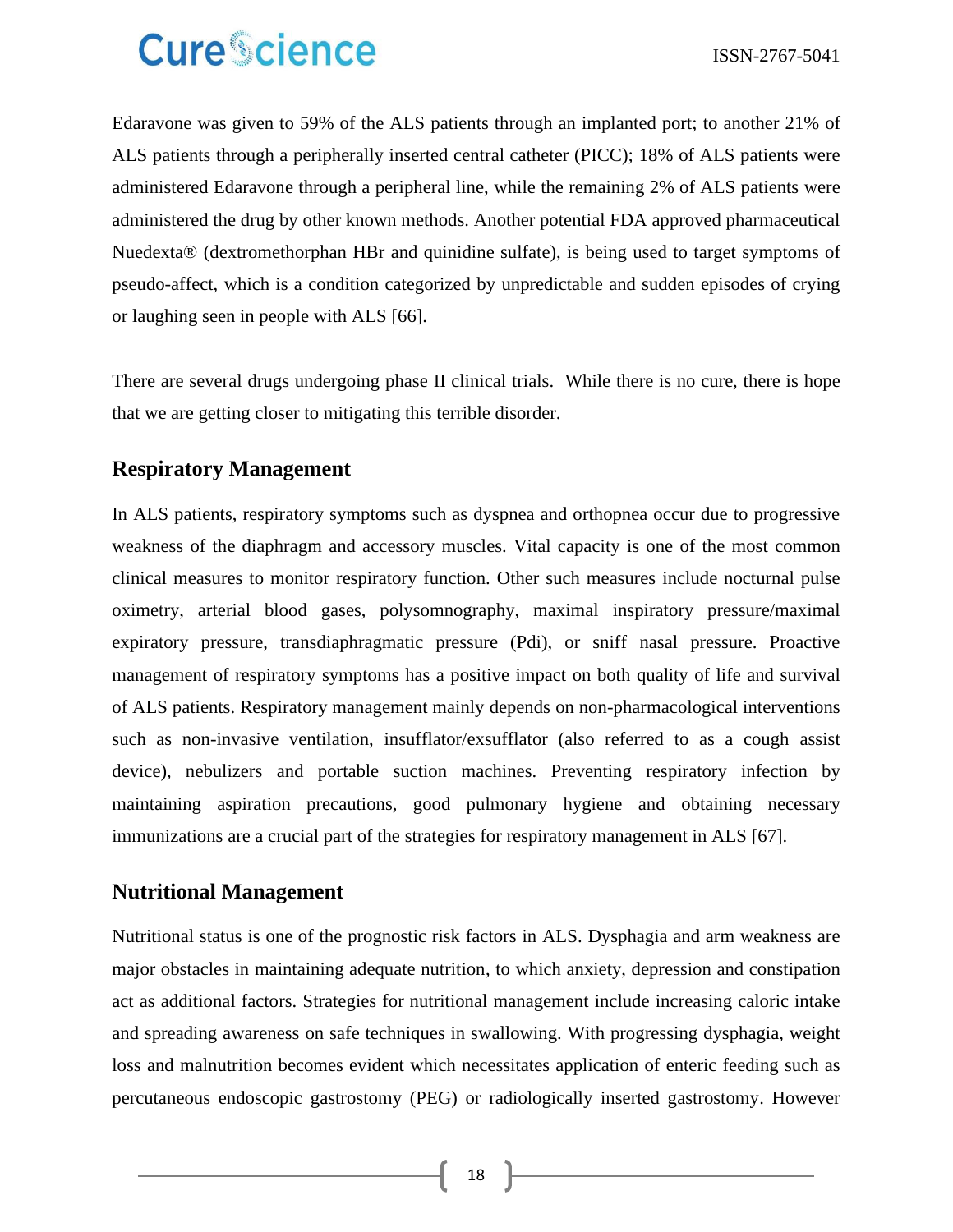Edaravone was given to 59% of the ALS patients through an implanted port; to another 21% of ALS patients through a peripherally inserted central catheter (PICC); 18% of ALS patients were administered Edaravone through a peripheral line, while the remaining 2% of ALS patients were administered the drug by other known methods. Another potential FDA approved pharmaceutical Nuedexta® (dextromethorphan HBr and quinidine sulfate), is being used to target symptoms of pseudo-affect, which is a condition categorized by unpredictable and sudden episodes of crying or laughing seen in people with ALS [66].

There are several drugs undergoing phase II clinical trials. While there is no cure, there is hope that we are getting closer to mitigating this terrible disorder.

### <span id="page-17-0"></span>**Respiratory Management**

In ALS patients, respiratory symptoms such as dyspnea and orthopnea occur due to progressive weakness of the diaphragm and accessory muscles. Vital capacity is one of the most common clinical measures to monitor respiratory function. Other such measures include nocturnal pulse oximetry, arterial blood gases, polysomnography, maximal inspiratory pressure/maximal expiratory pressure, transdiaphragmatic pressure (Pdi), or sniff nasal pressure. Proactive management of respiratory symptoms has a positive impact on both quality of life and survival of ALS patients. Respiratory management mainly depends on non-pharmacological interventions such as non-invasive ventilation, insufflator/exsufflator (also referred to as a cough assist device), nebulizers and portable suction machines. Preventing respiratory infection by maintaining aspiration precautions, good pulmonary hygiene and obtaining necessary immunizations are a crucial part of the strategies for respiratory management in ALS [67].

### <span id="page-17-1"></span>**Nutritional Management**

Nutritional status is one of the prognostic risk factors in ALS. Dysphagia and arm weakness are major obstacles in maintaining adequate nutrition, to which anxiety, depression and constipation act as additional factors. Strategies for nutritional management include increasing caloric intake and spreading awareness on safe techniques in swallowing. With progressing dysphagia, weight loss and malnutrition becomes evident which necessitates application of enteric feeding such as percutaneous endoscopic gastrostomy (PEG) or radiologically inserted gastrostomy. However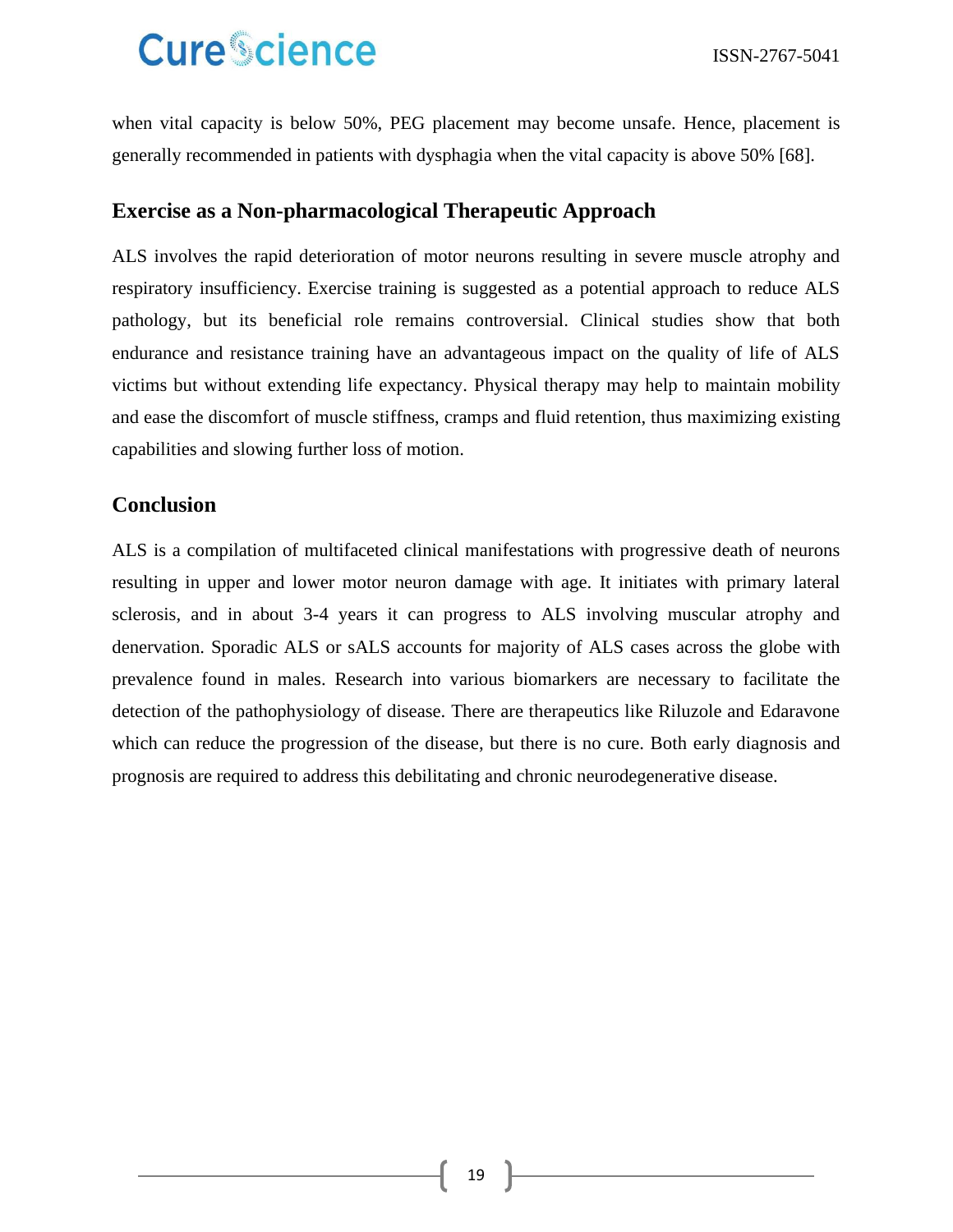when vital capacity is below 50%, PEG placement may become unsafe. Hence, placement is generally recommended in patients with dysphagia when the vital capacity is above 50% [68].

### <span id="page-18-0"></span>**Exercise as a Non-pharmacological Therapeutic Approach**

ALS involves the rapid deterioration of motor neurons resulting in severe muscle atrophy and respiratory insufficiency. Exercise training is suggested as a potential approach to reduce ALS pathology, but its beneficial role remains controversial. Clinical studies show that both endurance and resistance training have an advantageous impact on the quality of life of ALS victims but without extending life expectancy. Physical therapy may help to maintain mobility and ease the discomfort of muscle stiffness, cramps and fluid retention, thus maximizing existing capabilities and slowing further loss of motion.

### <span id="page-18-1"></span>**Conclusion**

ALS is a compilation of multifaceted clinical manifestations with progressive death of neurons resulting in upper and lower motor neuron damage with age. It initiates with primary lateral sclerosis, and in about 3-4 years it can progress to ALS involving muscular atrophy and denervation. Sporadic ALS or sALS accounts for majority of ALS cases across the globe with prevalence found in males. Research into various biomarkers are necessary to facilitate the detection of the pathophysiology of disease. There are therapeutics like Riluzole and Edaravone which can reduce the progression of the disease, but there is no cure. Both early diagnosis and prognosis are required to address this debilitating and chronic neurodegenerative disease.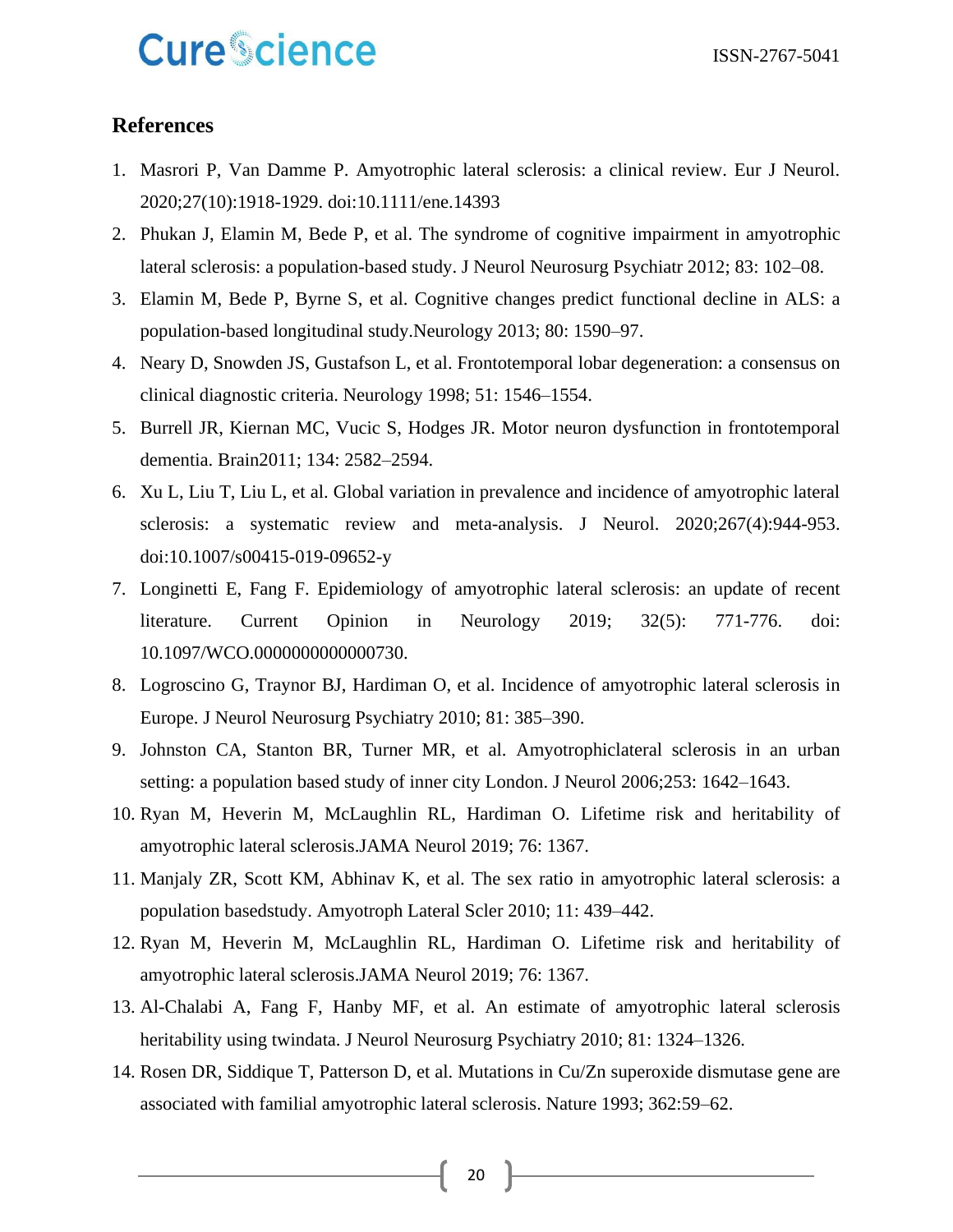### <span id="page-19-0"></span>**References**

- 1. Masrori P, Van Damme P. Amyotrophic lateral sclerosis: a clinical review. Eur J Neurol. 2020;27(10):1918-1929. doi:10.1111/ene.14393
- 2. Phukan J, Elamin M, Bede P, et al. The syndrome of cognitive impairment in amyotrophic lateral sclerosis: a population-based study. J Neurol Neurosurg Psychiatr 2012; 83: 102–08.
- 3. Elamin M, Bede P, Byrne S, et al. Cognitive changes predict functional decline in ALS: a population-based longitudinal study.Neurology 2013; 80: 1590–97.
- 4. Neary D, Snowden JS, Gustafson L, et al. Frontotemporal lobar degeneration: a consensus on clinical diagnostic criteria. Neurology 1998; 51: 1546–1554.
- 5. Burrell JR, Kiernan MC, Vucic S, Hodges JR. Motor neuron dysfunction in frontotemporal dementia. Brain2011; 134: 2582–2594.
- 6. Xu L, Liu T, Liu L, et al. Global variation in prevalence and incidence of amyotrophic lateral sclerosis: a systematic review and meta-analysis. J Neurol. 2020;267(4):944-953. doi:10.1007/s00415-019-09652-y
- 7. Longinetti E, Fang F. Epidemiology of amyotrophic lateral sclerosis: an update of recent literature. Current Opinion in Neurology 2019; 32(5): 771-776. doi: 10.1097/WCO.0000000000000730.
- 8. Logroscino G, Traynor BJ, Hardiman O, et al. Incidence of amyotrophic lateral sclerosis in Europe. J Neurol Neurosurg Psychiatry 2010; 81: 385–390.
- 9. Johnston CA, Stanton BR, Turner MR, et al. Amyotrophiclateral sclerosis in an urban setting: a population based study of inner city London. J Neurol 2006;253: 1642–1643.
- 10. Ryan M, Heverin M, McLaughlin RL, Hardiman O. Lifetime risk and heritability of amyotrophic lateral sclerosis.JAMA Neurol 2019; 76: 1367.
- 11. Manjaly ZR, Scott KM, Abhinav K, et al. The sex ratio in amyotrophic lateral sclerosis: a population basedstudy. Amyotroph Lateral Scler 2010; 11: 439–442.
- 12. Ryan M, Heverin M, McLaughlin RL, Hardiman O. Lifetime risk and heritability of amyotrophic lateral sclerosis.JAMA Neurol 2019; 76: 1367.
- 13. Al-Chalabi A, Fang F, Hanby MF, et al. An estimate of amyotrophic lateral sclerosis heritability using twindata. J Neurol Neurosurg Psychiatry 2010; 81: 1324–1326.
- 14. Rosen DR, Siddique T, Patterson D, et al. Mutations in Cu/Zn superoxide dismutase gene are associated with familial amyotrophic lateral sclerosis. Nature 1993; 362:59–62.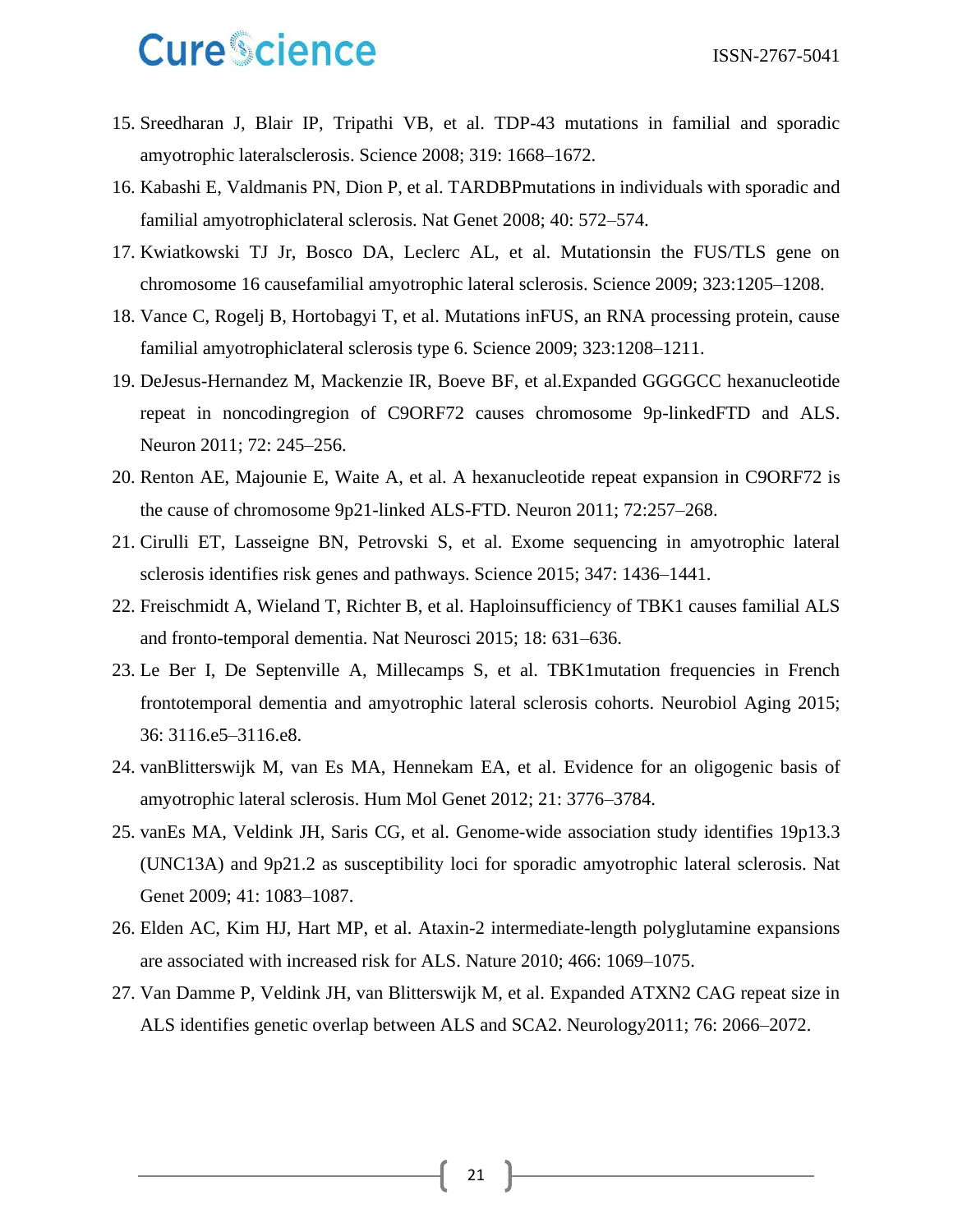- 15. Sreedharan J, Blair IP, Tripathi VB, et al. TDP-43 mutations in familial and sporadic amyotrophic lateralsclerosis. Science 2008; 319: 1668–1672.
- 16. Kabashi E, Valdmanis PN, Dion P, et al. TARDBPmutations in individuals with sporadic and familial amyotrophiclateral sclerosis. Nat Genet 2008; 40: 572–574.
- 17. Kwiatkowski TJ Jr, Bosco DA, Leclerc AL, et al. Mutationsin the FUS/TLS gene on chromosome 16 causefamilial amyotrophic lateral sclerosis. Science 2009; 323:1205–1208.
- 18. Vance C, Rogelj B, Hortobagyi T, et al. Mutations inFUS, an RNA processing protein, cause familial amyotrophiclateral sclerosis type 6. Science 2009; 323:1208–1211.
- 19. DeJesus-Hernandez M, Mackenzie IR, Boeve BF, et al.Expanded GGGGCC hexanucleotide repeat in noncodingregion of C9ORF72 causes chromosome 9p-linkedFTD and ALS. Neuron 2011; 72: 245–256.
- 20. Renton AE, Majounie E, Waite A, et al. A hexanucleotide repeat expansion in C9ORF72 is the cause of chromosome 9p21-linked ALS-FTD. Neuron 2011; 72:257–268.
- 21. Cirulli ET, Lasseigne BN, Petrovski S, et al. Exome sequencing in amyotrophic lateral sclerosis identifies risk genes and pathways. Science 2015; 347: 1436–1441.
- 22. Freischmidt A, Wieland T, Richter B, et al. Haploinsufficiency of TBK1 causes familial ALS and fronto-temporal dementia. Nat Neurosci 2015; 18: 631–636.
- 23. Le Ber I, De Septenville A, Millecamps S, et al. TBK1mutation frequencies in French frontotemporal dementia and amyotrophic lateral sclerosis cohorts. Neurobiol Aging 2015; 36: 3116.e5–3116.e8.
- 24. vanBlitterswijk M, van Es MA, Hennekam EA, et al. Evidence for an oligogenic basis of amyotrophic lateral sclerosis. Hum Mol Genet 2012; 21: 3776–3784.
- 25. vanEs MA, Veldink JH, Saris CG, et al. Genome-wide association study identifies 19p13.3 (UNC13A) and 9p21.2 as susceptibility loci for sporadic amyotrophic lateral sclerosis. Nat Genet 2009; 41: 1083–1087.
- 26. Elden AC, Kim HJ, Hart MP, et al. Ataxin-2 intermediate-length polyglutamine expansions are associated with increased risk for ALS. Nature 2010; 466: 1069–1075.
- 27. Van Damme P, Veldink JH, van Blitterswijk M, et al. Expanded ATXN2 CAG repeat size in ALS identifies genetic overlap between ALS and SCA2. Neurology2011; 76: 2066–2072.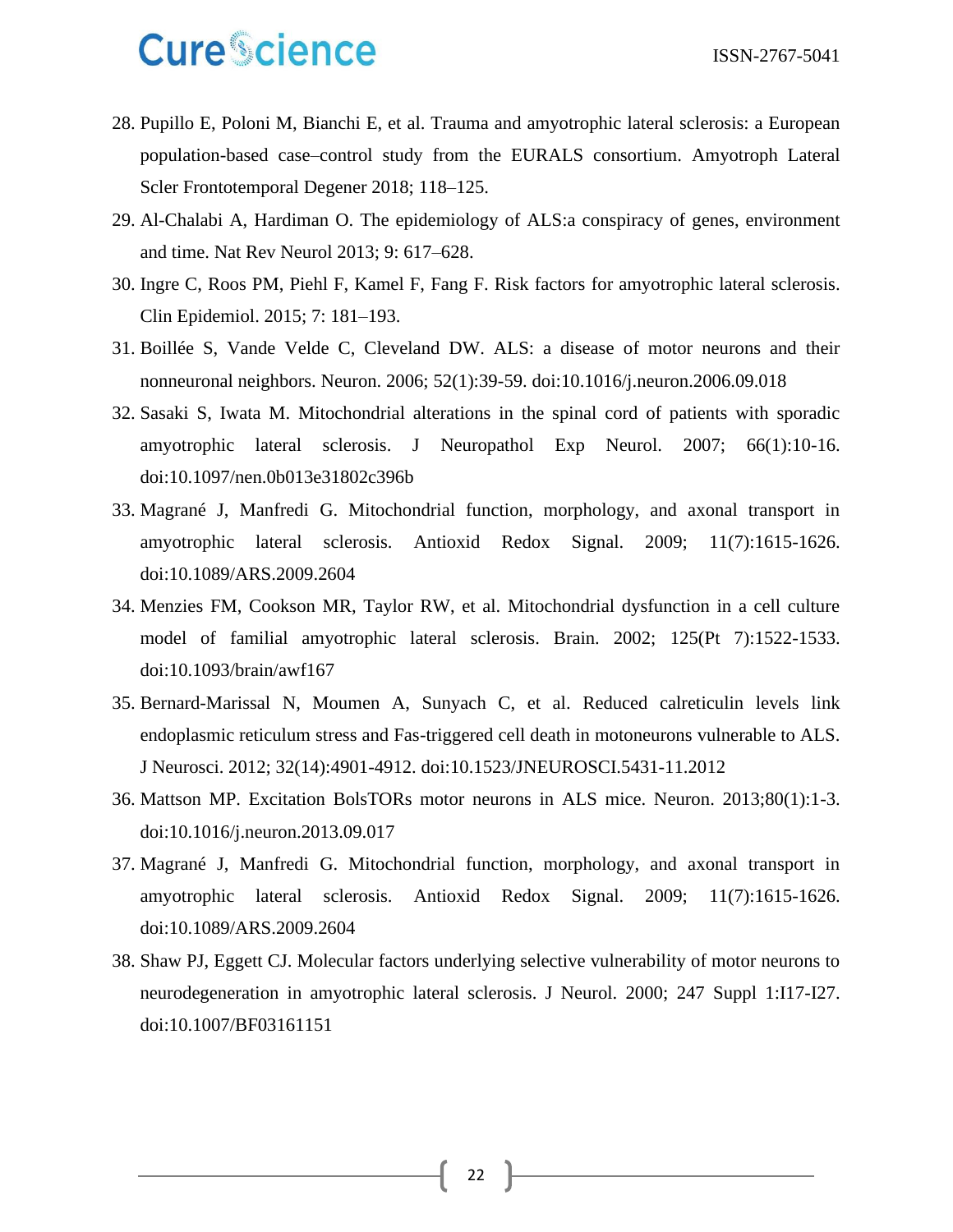- 28. Pupillo E, Poloni M, Bianchi E, et al. Trauma and amyotrophic lateral sclerosis: a European population-based case–control study from the EURALS consortium. Amyotroph Lateral Scler Frontotemporal Degener 2018; 118–125.
- 29. Al-Chalabi A, Hardiman O. The epidemiology of ALS:a conspiracy of genes, environment and time. Nat Rev Neurol 2013; 9: 617–628.
- 30. Ingre C, Roos PM, Piehl F, Kamel F, Fang F. Risk factors for amyotrophic lateral sclerosis. Clin Epidemiol. 2015; 7: 181–193.
- 31. Boillée S, Vande Velde C, Cleveland DW. ALS: a disease of motor neurons and their nonneuronal neighbors. Neuron. 2006; 52(1):39-59. doi:10.1016/j.neuron.2006.09.018
- 32. Sasaki S, Iwata M. Mitochondrial alterations in the spinal cord of patients with sporadic amyotrophic lateral sclerosis. J Neuropathol Exp Neurol. 2007; 66(1):10-16. doi:10.1097/nen.0b013e31802c396b
- 33. Magrané J, Manfredi G. Mitochondrial function, morphology, and axonal transport in amyotrophic lateral sclerosis. Antioxid Redox Signal. 2009; 11(7):1615-1626. doi:10.1089/ARS.2009.2604
- 34. Menzies FM, Cookson MR, Taylor RW, et al. Mitochondrial dysfunction in a cell culture model of familial amyotrophic lateral sclerosis. Brain. 2002; 125(Pt 7):1522-1533. doi:10.1093/brain/awf167
- 35. Bernard-Marissal N, Moumen A, Sunyach C, et al. Reduced calreticulin levels link endoplasmic reticulum stress and Fas-triggered cell death in motoneurons vulnerable to ALS. J Neurosci. 2012; 32(14):4901-4912. doi:10.1523/JNEUROSCI.5431-11.2012
- 36. Mattson MP. Excitation BolsTORs motor neurons in ALS mice. Neuron. 2013;80(1):1-3. doi:10.1016/j.neuron.2013.09.017
- 37. Magrané J, Manfredi G. Mitochondrial function, morphology, and axonal transport in amyotrophic lateral sclerosis. Antioxid Redox Signal. 2009; 11(7):1615-1626. doi:10.1089/ARS.2009.2604
- 38. Shaw PJ, Eggett CJ. Molecular factors underlying selective vulnerability of motor neurons to neurodegeneration in amyotrophic lateral sclerosis. J Neurol. 2000; 247 Suppl 1:I17-I27. doi:10.1007/BF03161151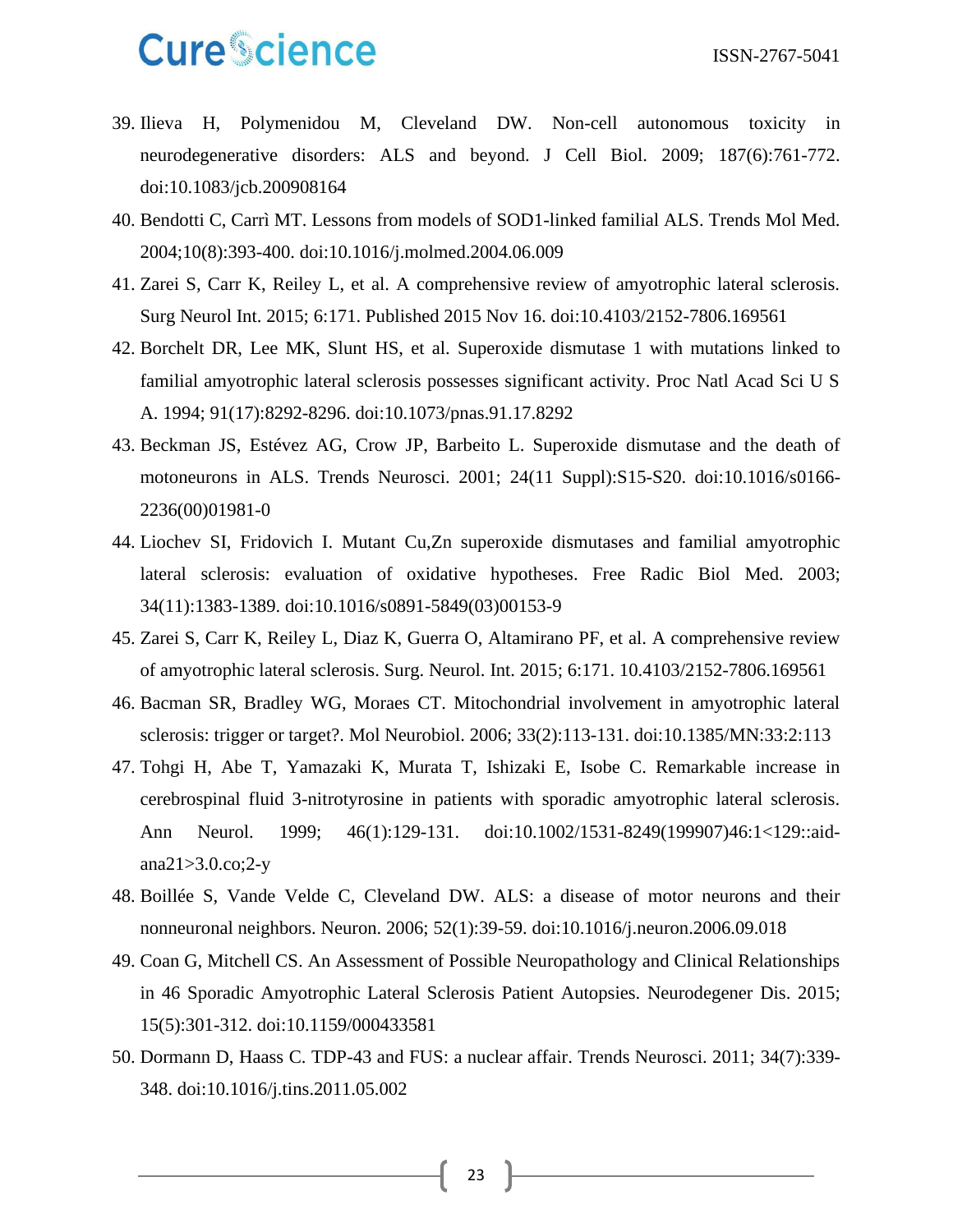- 39. Ilieva H, Polymenidou M, Cleveland DW. Non-cell autonomous toxicity in neurodegenerative disorders: ALS and beyond. J Cell Biol. 2009; 187(6):761-772. doi:10.1083/jcb.200908164
- 40. Bendotti C, Carrì MT. Lessons from models of SOD1-linked familial ALS. Trends Mol Med. 2004;10(8):393-400. doi:10.1016/j.molmed.2004.06.009
- 41. Zarei S, Carr K, Reiley L, et al. A comprehensive review of amyotrophic lateral sclerosis. Surg Neurol Int. 2015; 6:171. Published 2015 Nov 16. doi:10.4103/2152-7806.169561
- 42. Borchelt DR, Lee MK, Slunt HS, et al. Superoxide dismutase 1 with mutations linked to familial amyotrophic lateral sclerosis possesses significant activity. Proc Natl Acad Sci U S A. 1994; 91(17):8292-8296. doi:10.1073/pnas.91.17.8292
- 43. Beckman JS, Estévez AG, Crow JP, Barbeito L. Superoxide dismutase and the death of motoneurons in ALS. Trends Neurosci. 2001; 24(11 Suppl):S15-S20. doi:10.1016/s0166- 2236(00)01981-0
- 44. Liochev SI, Fridovich I. Mutant Cu,Zn superoxide dismutases and familial amyotrophic lateral sclerosis: evaluation of oxidative hypotheses. Free Radic Biol Med. 2003; 34(11):1383-1389. doi:10.1016/s0891-5849(03)00153-9
- 45. Zarei S, Carr K, Reiley L, Diaz K, Guerra O, Altamirano PF, et al. A comprehensive review of amyotrophic lateral sclerosis. Surg. Neurol. Int. 2015; 6:171. 10.4103/2152-7806.169561
- 46. Bacman SR, Bradley WG, Moraes CT. Mitochondrial involvement in amyotrophic lateral sclerosis: trigger or target?. Mol Neurobiol. 2006; 33(2):113-131. doi:10.1385/MN:33:2:113
- 47. Tohgi H, Abe T, Yamazaki K, Murata T, Ishizaki E, Isobe C. Remarkable increase in cerebrospinal fluid 3-nitrotyrosine in patients with sporadic amyotrophic lateral sclerosis. Ann Neurol. 1999; 46(1):129-131. doi:10.1002/1531-8249(199907)46:1<129::aidana21>3.0.co;2-y
- 48. Boillée S, Vande Velde C, Cleveland DW. ALS: a disease of motor neurons and their nonneuronal neighbors. Neuron. 2006; 52(1):39-59. doi:10.1016/j.neuron.2006.09.018
- 49. Coan G, Mitchell CS. An Assessment of Possible Neuropathology and Clinical Relationships in 46 Sporadic Amyotrophic Lateral Sclerosis Patient Autopsies. Neurodegener Dis. 2015; 15(5):301-312. doi:10.1159/000433581
- 50. Dormann D, Haass C. TDP-43 and FUS: a nuclear affair. Trends Neurosci. 2011; 34(7):339- 348. doi:10.1016/j.tins.2011.05.002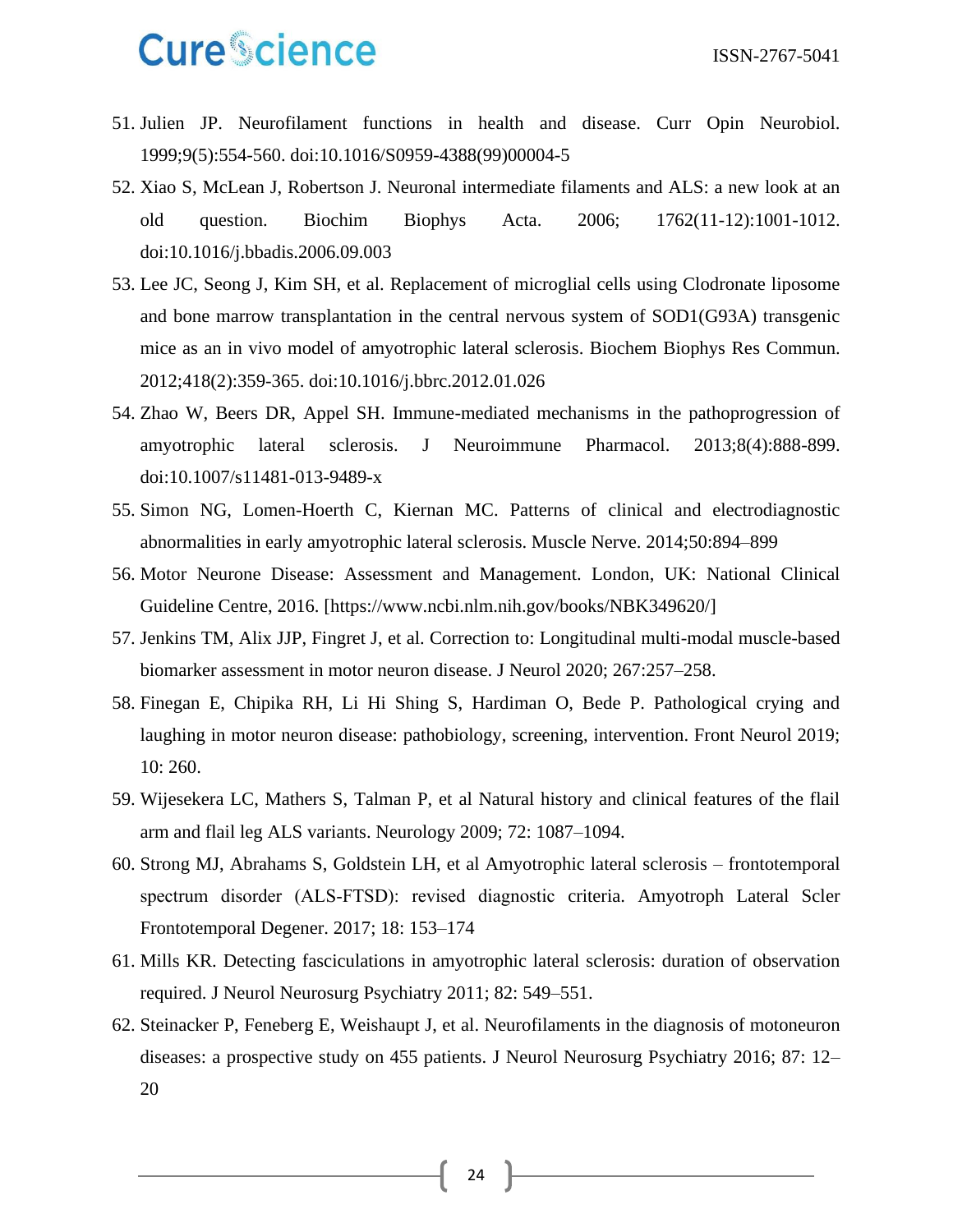- 51. Julien JP. Neurofilament functions in health and disease. Curr Opin Neurobiol. 1999;9(5):554-560. doi:10.1016/S0959-4388(99)00004-5
- 52. Xiao S, McLean J, Robertson J. Neuronal intermediate filaments and ALS: a new look at an old question. Biochim Biophys Acta. 2006; 1762(11-12):1001-1012. doi:10.1016/j.bbadis.2006.09.003
- 53. Lee JC, Seong J, Kim SH, et al. Replacement of microglial cells using Clodronate liposome and bone marrow transplantation in the central nervous system of SOD1(G93A) transgenic mice as an in vivo model of amyotrophic lateral sclerosis. Biochem Biophys Res Commun. 2012;418(2):359-365. doi:10.1016/j.bbrc.2012.01.026
- 54. Zhao W, Beers DR, Appel SH. Immune-mediated mechanisms in the pathoprogression of amyotrophic lateral sclerosis. J Neuroimmune Pharmacol. 2013;8(4):888-899. doi:10.1007/s11481-013-9489-x
- 55. Simon NG, Lomen-Hoerth C, Kiernan MC. Patterns of clinical and electrodiagnostic abnormalities in early amyotrophic lateral sclerosis. Muscle Nerve. 2014;50:894–899
- 56. Motor Neurone Disease: Assessment and Management. London, UK: National Clinical Guideline Centre, 2016. [\[https://www.ncbi.nlm.nih.gov/books/NBK349620/\]](https://www.ncbi.nlm.nih.gov/books/NBK349620/)
- 57. Jenkins TM, Alix JJP, Fingret J, et al. Correction to: Longitudinal multi-modal muscle-based biomarker assessment in motor neuron disease. J Neurol 2020; 267:257–258.
- 58. Finegan E, Chipika RH, Li Hi Shing S, Hardiman O, Bede P. Pathological crying and laughing in motor neuron disease: pathobiology, screening, intervention. Front Neurol 2019; 10: 260.
- 59. Wijesekera LC, Mathers S, Talman P, et al Natural history and clinical features of the flail arm and flail leg ALS variants. Neurology 2009; 72: 1087–1094.
- 60. Strong MJ, Abrahams S, Goldstein LH, et al Amyotrophic lateral sclerosis frontotemporal spectrum disorder (ALS‐FTSD): revised diagnostic criteria. Amyotroph Lateral Scler Frontotemporal Degener. 2017; 18: 153–174
- 61. Mills KR. Detecting fasciculations in amyotrophic lateral sclerosis: duration of observation required. J Neurol Neurosurg Psychiatry 2011; 82: 549–551.
- 62. Steinacker P, Feneberg E, Weishaupt J, et al. Neurofilaments in the diagnosis of motoneuron diseases: a prospective study on 455 patients. J Neurol Neurosurg Psychiatry 2016; 87: 12– 20